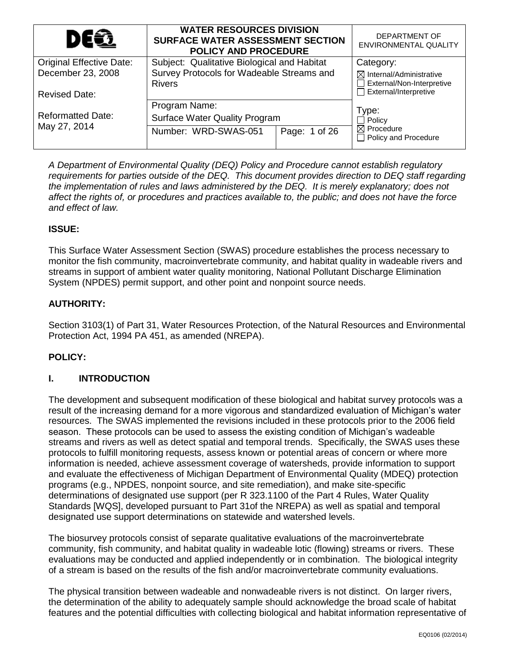| DEQ                             | <b>WATER RESOURCES DIVISION</b><br><b>SURFACE WATER ASSESSMENT SECTION</b><br><b>POLICY AND PROCEDURE</b> |                                                                  | DEPARTMENT OF<br><b>ENVIRONMENTAL QUALITY</b>        |
|---------------------------------|-----------------------------------------------------------------------------------------------------------|------------------------------------------------------------------|------------------------------------------------------|
| <b>Original Effective Date:</b> | Subject: Qualitative Biological and Habitat                                                               |                                                                  | Category:                                            |
| December 23, 2008               | Survey Protocols for Wadeable Streams and<br><b>Rivers</b>                                                | $\boxtimes$ Internal/Administrative<br>External/Non-Interpretive |                                                      |
| <b>Revised Date:</b>            |                                                                                                           |                                                                  | $\Box$ External/Interpretive                         |
|                                 | Program Name:                                                                                             |                                                                  | Type:                                                |
| <b>Reformatted Date:</b>        | <b>Surface Water Quality Program</b>                                                                      | $\Box$ Policy                                                    |                                                      |
| May 27, 2014                    | Number: WRD-SWAS-051                                                                                      | Page: 1 of 26                                                    | $\boxtimes$ Procedure<br>$\Box$ Policy and Procedure |

*A Department of Environmental Quality (DEQ) Policy and Procedure cannot establish regulatory requirements for parties outside of the DEQ. This document provides direction to DEQ staff regarding the implementation of rules and laws administered by the DEQ. It is merely explanatory; does not affect the rights of, or procedures and practices available to, the public; and does not have the force and effect of law.*

## **ISSUE:**

This Surface Water Assessment Section (SWAS) procedure establishes the process necessary to monitor the fish community, macroinvertebrate community, and habitat quality in wadeable rivers and streams in support of ambient water quality monitoring, National Pollutant Discharge Elimination System (NPDES) permit support, and other point and nonpoint source needs.

## **AUTHORITY:**

Section 3103(1) of Part 31, Water Resources Protection, of the Natural Resources and Environmental Protection Act, 1994 PA 451, as amended (NREPA).

### **POLICY:**

### **I. INTRODUCTION**

The development and subsequent modification of these biological and habitat survey protocols was a result of the increasing demand for a more vigorous and standardized evaluation of Michigan's water resources. The SWAS implemented the revisions included in these protocols prior to the 2006 field season. These protocols can be used to assess the existing condition of Michigan's wadeable streams and rivers as well as detect spatial and temporal trends. Specifically, the SWAS uses these protocols to fulfill monitoring requests, assess known or potential areas of concern or where more information is needed, achieve assessment coverage of watersheds, provide information to support and evaluate the effectiveness of Michigan Department of Environmental Quality (MDEQ) protection programs (e.g., NPDES, nonpoint source, and site remediation), and make site-specific determinations of designated use support (per R 323.1100 of the Part 4 Rules, Water Quality Standards [WQS], developed pursuant to Part 31of the NREPA) as well as spatial and temporal designated use support determinations on statewide and watershed levels.

The biosurvey protocols consist of separate qualitative evaluations of the macroinvertebrate community, fish community, and habitat quality in wadeable lotic (flowing) streams or rivers. These evaluations may be conducted and applied independently or in combination. The biological integrity of a stream is based on the results of the fish and/or macroinvertebrate community evaluations.

The physical transition between wadeable and nonwadeable rivers is not distinct. On larger rivers, the determination of the ability to adequately sample should acknowledge the broad scale of habitat features and the potential difficulties with collecting biological and habitat information representative of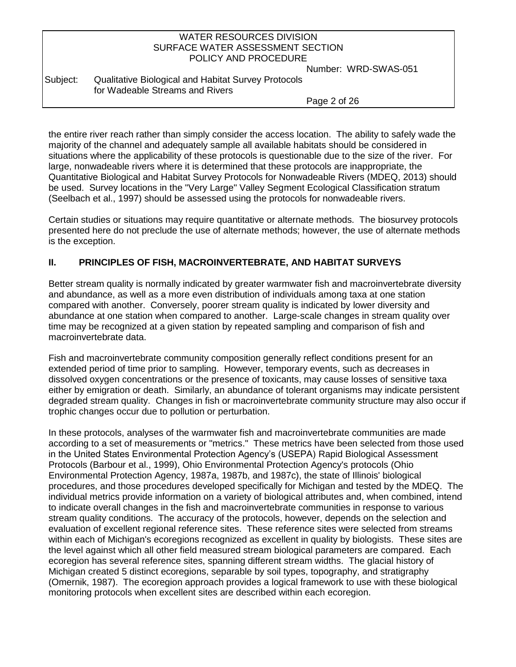| WATER RESOURCES DIVISION         |  |
|----------------------------------|--|
| SURFACE WATER ASSESSMENT SECTION |  |
| POLICY AND PROCEDURE             |  |

Number: WRD-SWAS-051

Subject: Qualitative Biological and Habitat Survey Protocols for Wadeable Streams and Rivers

Page 2 of 26

the entire river reach rather than simply consider the access location. The ability to safely wade the majority of the channel and adequately sample all available habitats should be considered in situations where the applicability of these protocols is questionable due to the size of the river. For large, nonwadeable rivers where it is determined that these protocols are inappropriate, the Quantitative Biological and Habitat Survey Protocols for Nonwadeable Rivers (MDEQ, 2013) should be used. Survey locations in the "Very Large" Valley Segment Ecological Classification stratum (Seelbach et al., 1997) should be assessed using the protocols for nonwadeable rivers.

Certain studies or situations may require quantitative or alternate methods. The biosurvey protocols presented here do not preclude the use of alternate methods; however, the use of alternate methods is the exception.

## **II. PRINCIPLES OF FISH, MACROINVERTEBRATE, AND HABITAT SURVEYS**

Better stream quality is normally indicated by greater warmwater fish and macroinvertebrate diversity and abundance, as well as a more even distribution of individuals among taxa at one station compared with another. Conversely, poorer stream quality is indicated by lower diversity and abundance at one station when compared to another. Large-scale changes in stream quality over time may be recognized at a given station by repeated sampling and comparison of fish and macroinvertebrate data.

Fish and macroinvertebrate community composition generally reflect conditions present for an extended period of time prior to sampling. However, temporary events, such as decreases in dissolved oxygen concentrations or the presence of toxicants, may cause losses of sensitive taxa either by emigration or death. Similarly, an abundance of tolerant organisms may indicate persistent degraded stream quality. Changes in fish or macroinvertebrate community structure may also occur if trophic changes occur due to pollution or perturbation.

In these protocols, analyses of the warmwater fish and macroinvertebrate communities are made according to a set of measurements or "metrics." These metrics have been selected from those used in the United States Environmental Protection Agency's (USEPA) Rapid Biological Assessment Protocols (Barbour et al., 1999), Ohio Environmental Protection Agency's protocols (Ohio Environmental Protection Agency, 1987a, 1987b, and 1987c), the state of Illinois' biological procedures, and those procedures developed specifically for Michigan and tested by the MDEQ. The individual metrics provide information on a variety of biological attributes and, when combined, intend to indicate overall changes in the fish and macroinvertebrate communities in response to various stream quality conditions. The accuracy of the protocols, however, depends on the selection and evaluation of excellent regional reference sites. These reference sites were selected from streams within each of Michigan's ecoregions recognized as excellent in quality by biologists. These sites are the level against which all other field measured stream biological parameters are compared. Each ecoregion has several reference sites, spanning different stream widths. The glacial history of Michigan created 5 distinct ecoregions, separable by soil types, topography, and stratigraphy (Omernik, 1987). The ecoregion approach provides a logical framework to use with these biological monitoring protocols when excellent sites are described within each ecoregion.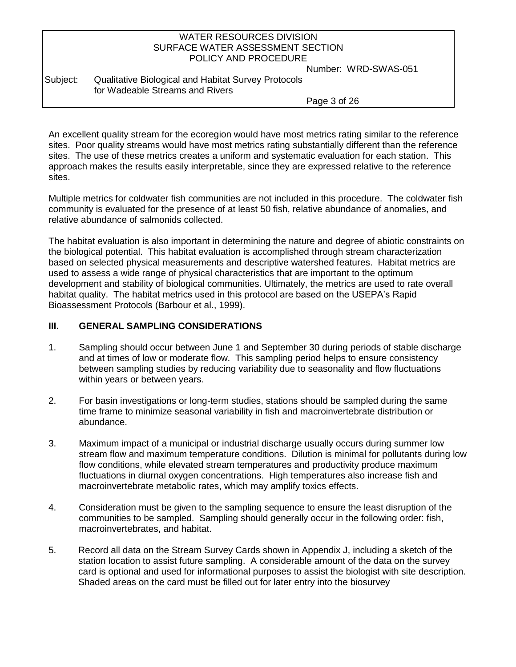Number: WRD-SWAS-051

Subject: Qualitative Biological and Habitat Survey Protocols for Wadeable Streams and Rivers

Page 3 of 26

An excellent quality stream for the ecoregion would have most metrics rating similar to the reference sites. Poor quality streams would have most metrics rating substantially different than the reference sites. The use of these metrics creates a uniform and systematic evaluation for each station. This approach makes the results easily interpretable, since they are expressed relative to the reference sites.

Multiple metrics for coldwater fish communities are not included in this procedure. The coldwater fish community is evaluated for the presence of at least 50 fish, relative abundance of anomalies, and relative abundance of salmonids collected.

The habitat evaluation is also important in determining the nature and degree of abiotic constraints on the biological potential. This habitat evaluation is accomplished through stream characterization based on selected physical measurements and descriptive watershed features. Habitat metrics are used to assess a wide range of physical characteristics that are important to the optimum development and stability of biological communities. Ultimately, the metrics are used to rate overall habitat quality. The habitat metrics used in this protocol are based on the USEPA's Rapid Bioassessment Protocols (Barbour et al., 1999).

### **III. GENERAL SAMPLING CONSIDERATIONS**

- 1. Sampling should occur between June 1 and September 30 during periods of stable discharge and at times of low or moderate flow. This sampling period helps to ensure consistency between sampling studies by reducing variability due to seasonality and flow fluctuations within years or between years.
- 2. For basin investigations or long-term studies, stations should be sampled during the same time frame to minimize seasonal variability in fish and macroinvertebrate distribution or abundance.
- 3. Maximum impact of a municipal or industrial discharge usually occurs during summer low stream flow and maximum temperature conditions. Dilution is minimal for pollutants during low flow conditions, while elevated stream temperatures and productivity produce maximum fluctuations in diurnal oxygen concentrations. High temperatures also increase fish and macroinvertebrate metabolic rates, which may amplify toxics effects.
- 4. Consideration must be given to the sampling sequence to ensure the least disruption of the communities to be sampled. Sampling should generally occur in the following order: fish, macroinvertebrates, and habitat.
- 5. Record all data on the Stream Survey Cards shown in Appendix J, including a sketch of the station location to assist future sampling. A considerable amount of the data on the survey card is optional and used for informational purposes to assist the biologist with site description. Shaded areas on the card must be filled out for later entry into the biosurvey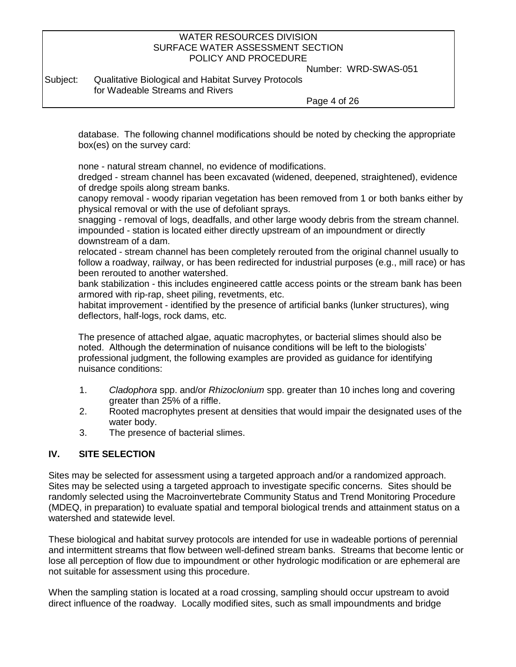Number: WRD-SWAS-051

Subject: Qualitative Biological and Habitat Survey Protocols for Wadeable Streams and Rivers

Page 4 of 26

database. The following channel modifications should be noted by checking the appropriate box(es) on the survey card:

none - natural stream channel, no evidence of modifications.

dredged - stream channel has been excavated (widened, deepened, straightened), evidence of dredge spoils along stream banks.

canopy removal - woody riparian vegetation has been removed from 1 or both banks either by physical removal or with the use of defoliant sprays.

snagging - removal of logs, deadfalls, and other large woody debris from the stream channel. impounded - station is located either directly upstream of an impoundment or directly downstream of a dam.

relocated - stream channel has been completely rerouted from the original channel usually to follow a roadway, railway, or has been redirected for industrial purposes (e.g., mill race) or has been rerouted to another watershed.

bank stabilization - this includes engineered cattle access points or the stream bank has been armored with rip-rap, sheet piling, revetments, etc.

habitat improvement - identified by the presence of artificial banks (lunker structures), wing deflectors, half-logs, rock dams, etc.

The presence of attached algae, aquatic macrophytes, or bacterial slimes should also be noted. Although the determination of nuisance conditions will be left to the biologists' professional judgment, the following examples are provided as guidance for identifying nuisance conditions:

- 1. *Cladophora* spp. and/or *Rhizoclonium* spp. greater than 10 inches long and covering greater than 25% of a riffle.
- 2. Rooted macrophytes present at densities that would impair the designated uses of the water body.
- 3. The presence of bacterial slimes.

## **IV. SITE SELECTION**

Sites may be selected for assessment using a targeted approach and/or a randomized approach. Sites may be selected using a targeted approach to investigate specific concerns. Sites should be randomly selected using the Macroinvertebrate Community Status and Trend Monitoring Procedure (MDEQ, in preparation) to evaluate spatial and temporal biological trends and attainment status on a watershed and statewide level.

These biological and habitat survey protocols are intended for use in wadeable portions of perennial and intermittent streams that flow between well-defined stream banks. Streams that become lentic or lose all perception of flow due to impoundment or other hydrologic modification or are ephemeral are not suitable for assessment using this procedure.

When the sampling station is located at a road crossing, sampling should occur upstream to avoid direct influence of the roadway. Locally modified sites, such as small impoundments and bridge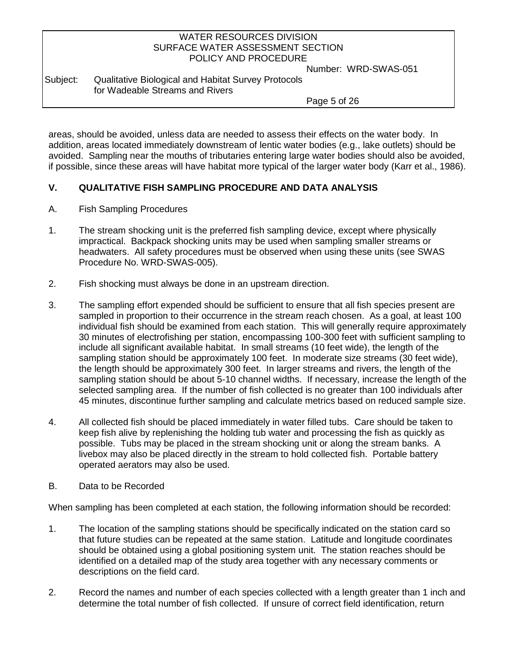Number: WRD-SWAS-051

Subject: Qualitative Biological and Habitat Survey Protocols for Wadeable Streams and Rivers

Page 5 of 26

areas, should be avoided, unless data are needed to assess their effects on the water body. In addition, areas located immediately downstream of lentic water bodies (e.g., lake outlets) should be avoided. Sampling near the mouths of tributaries entering large water bodies should also be avoided, if possible, since these areas will have habitat more typical of the larger water body (Karr et al., 1986).

## **V. QUALITATIVE FISH SAMPLING PROCEDURE AND DATA ANALYSIS**

- A. Fish Sampling Procedures
- 1. The stream shocking unit is the preferred fish sampling device, except where physically impractical. Backpack shocking units may be used when sampling smaller streams or headwaters. All safety procedures must be observed when using these units (see SWAS Procedure No. WRD-SWAS-005).
- 2. Fish shocking must always be done in an upstream direction.
- 3. The sampling effort expended should be sufficient to ensure that all fish species present are sampled in proportion to their occurrence in the stream reach chosen. As a goal, at least 100 individual fish should be examined from each station. This will generally require approximately 30 minutes of electrofishing per station, encompassing 100-300 feet with sufficient sampling to include all significant available habitat. In small streams (10 feet wide), the length of the sampling station should be approximately 100 feet. In moderate size streams (30 feet wide), the length should be approximately 300 feet. In larger streams and rivers, the length of the sampling station should be about 5-10 channel widths. If necessary, increase the length of the selected sampling area. If the number of fish collected is no greater than 100 individuals after 45 minutes, discontinue further sampling and calculate metrics based on reduced sample size.
- 4. All collected fish should be placed immediately in water filled tubs. Care should be taken to keep fish alive by replenishing the holding tub water and processing the fish as quickly as possible. Tubs may be placed in the stream shocking unit or along the stream banks. A livebox may also be placed directly in the stream to hold collected fish. Portable battery operated aerators may also be used.
- B. Data to be Recorded

When sampling has been completed at each station, the following information should be recorded:

- 1. The location of the sampling stations should be specifically indicated on the station card so that future studies can be repeated at the same station. Latitude and longitude coordinates should be obtained using a global positioning system unit. The station reaches should be identified on a detailed map of the study area together with any necessary comments or descriptions on the field card.
- 2. Record the names and number of each species collected with a length greater than 1 inch and determine the total number of fish collected. If unsure of correct field identification, return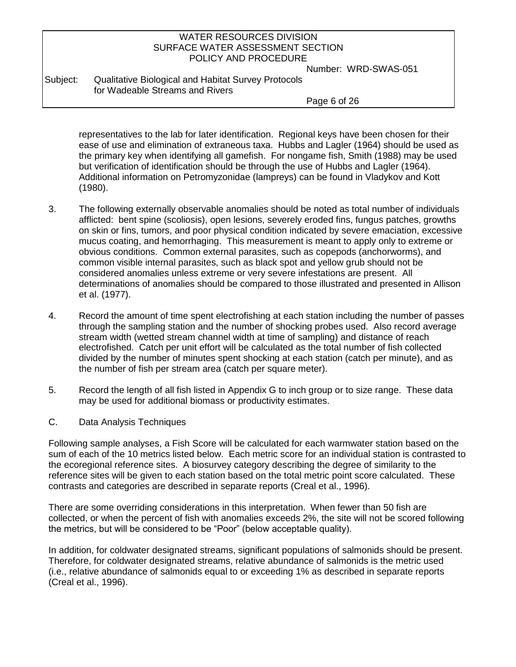Number: WRD-SWAS-051

Subject: Qualitative Biological and Habitat Survey Protocols for Wadeable Streams and Rivers

Page 6 of 26

representatives to the lab for later identification. Regional keys have been chosen for their ease of use and elimination of extraneous taxa. Hubbs and Lagler (1964) should be used as the primary key when identifying all gamefish. For nongame fish, Smith (1988) may be used but verification of identification should be through the use of Hubbs and Lagler (1964). Additional information on Petromyzonidae (lampreys) can be found in Vladykov and Kott (1980).

- 3. The following externally observable anomalies should be noted as total number of individuals afflicted: bent spine (scoliosis), open lesions, severely eroded fins, fungus patches, growths on skin or fins, tumors, and poor physical condition indicated by severe emaciation, excessive mucus coating, and hemorrhaging. This measurement is meant to apply only to extreme or obvious conditions. Common external parasites, such as copepods (anchorworms), and common visible internal parasites, such as black spot and yellow grub should not be considered anomalies unless extreme or very severe infestations are present. All determinations of anomalies should be compared to those illustrated and presented in Allison et al. (1977).
- 4. Record the amount of time spent electrofishing at each station including the number of passes through the sampling station and the number of shocking probes used. Also record average stream width (wetted stream channel width at time of sampling) and distance of reach electrofished. Catch per unit effort will be calculated as the total number of fish collected divided by the number of minutes spent shocking at each station (catch per minute), and as the number of fish per stream area (catch per square meter).
- 5. Record the length of all fish listed in Appendix G to inch group or to size range. These data may be used for additional biomass or productivity estimates.
- C. Data Analysis Techniques

Following sample analyses, a Fish Score will be calculated for each warmwater station based on the sum of each of the 10 metrics listed below. Each metric score for an individual station is contrasted to the ecoregional reference sites. A biosurvey category describing the degree of similarity to the reference sites will be given to each station based on the total metric point score calculated. These contrasts and categories are described in separate reports (Creal et al., 1996).

There are some overriding considerations in this interpretation. When fewer than 50 fish are collected, or when the percent of fish with anomalies exceeds 2%, the site will not be scored following the metrics, but will be considered to be "Poor" (below acceptable quality).

In addition, for coldwater designated streams, significant populations of salmonids should be present. Therefore, for coldwater designated streams, relative abundance of salmonids is the metric used (i.e., relative abundance of salmonids equal to or exceeding 1% as described in separate reports (Creal et al., 1996).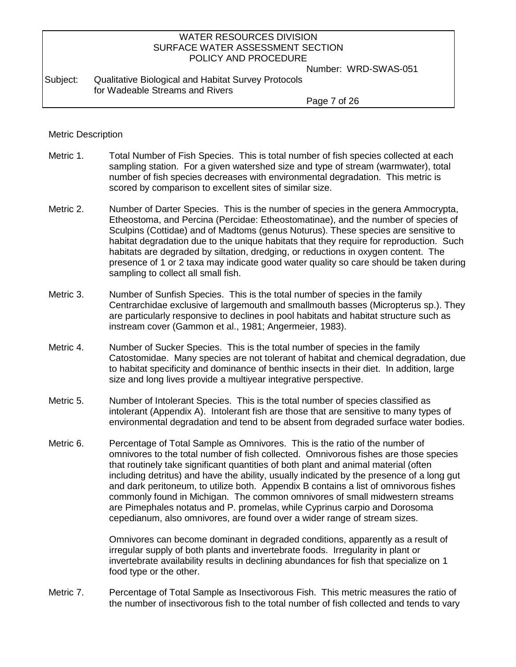Number: WRD-SWAS-051

#### Subject: Qualitative Biological and Habitat Survey Protocols for Wadeable Streams and Rivers

Page 7 of 26

#### Metric Description

- Metric 1. Total Number of Fish Species. This is total number of fish species collected at each sampling station. For a given watershed size and type of stream (warmwater), total number of fish species decreases with environmental degradation. This metric is scored by comparison to excellent sites of similar size.
- Metric 2. Number of Darter Species. This is the number of species in the genera Ammocrypta, Etheostoma, and Percina (Percidae: Etheostomatinae), and the number of species of Sculpins (Cottidae) and of Madtoms (genus Noturus). These species are sensitive to habitat degradation due to the unique habitats that they require for reproduction. Such habitats are degraded by siltation, dredging, or reductions in oxygen content. The presence of 1 or 2 taxa may indicate good water quality so care should be taken during sampling to collect all small fish.
- Metric 3. Number of Sunfish Species. This is the total number of species in the family Centrarchidae exclusive of largemouth and smallmouth basses (Micropterus sp.). They are particularly responsive to declines in pool habitats and habitat structure such as instream cover (Gammon et al., 1981; Angermeier, 1983).
- Metric 4. Number of Sucker Species. This is the total number of species in the family Catostomidae. Many species are not tolerant of habitat and chemical degradation, due to habitat specificity and dominance of benthic insects in their diet. In addition, large size and long lives provide a multiyear integrative perspective.
- Metric 5. Number of Intolerant Species. This is the total number of species classified as intolerant (Appendix A). Intolerant fish are those that are sensitive to many types of environmental degradation and tend to be absent from degraded surface water bodies.
- Metric 6. Percentage of Total Sample as Omnivores. This is the ratio of the number of omnivores to the total number of fish collected. Omnivorous fishes are those species that routinely take significant quantities of both plant and animal material (often including detritus) and have the ability, usually indicated by the presence of a long gut and dark peritoneum, to utilize both. Appendix B contains a list of omnivorous fishes commonly found in Michigan. The common omnivores of small midwestern streams are Pimephales notatus and P. promelas, while Cyprinus carpio and Dorosoma cepedianum, also omnivores, are found over a wider range of stream sizes.

Omnivores can become dominant in degraded conditions, apparently as a result of irregular supply of both plants and invertebrate foods. Irregularity in plant or invertebrate availability results in declining abundances for fish that specialize on 1 food type or the other.

Metric 7. Percentage of Total Sample as Insectivorous Fish. This metric measures the ratio of the number of insectivorous fish to the total number of fish collected and tends to vary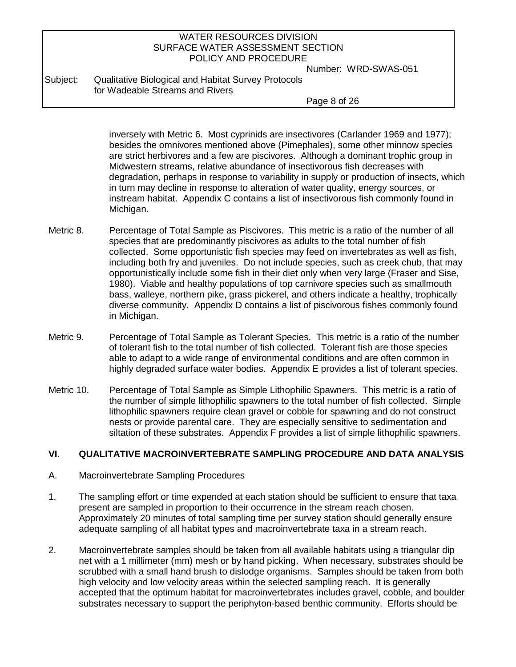Number: WRD-SWAS-051

Subject: Qualitative Biological and Habitat Survey Protocols for Wadeable Streams and Rivers

Page 8 of 26

inversely with Metric 6. Most cyprinids are insectivores (Carlander 1969 and 1977); besides the omnivores mentioned above (Pimephales), some other minnow species are strict herbivores and a few are piscivores. Although a dominant trophic group in Midwestern streams, relative abundance of insectivorous fish decreases with degradation, perhaps in response to variability in supply or production of insects, which in turn may decline in response to alteration of water quality, energy sources, or instream habitat. Appendix C contains a list of insectivorous fish commonly found in Michigan.

- Metric 8. Percentage of Total Sample as Piscivores. This metric is a ratio of the number of all species that are predominantly piscivores as adults to the total number of fish collected. Some opportunistic fish species may feed on invertebrates as well as fish, including both fry and juveniles. Do not include species, such as creek chub, that may opportunistically include some fish in their diet only when very large (Fraser and Sise, 1980). Viable and healthy populations of top carnivore species such as smallmouth bass, walleye, northern pike, grass pickerel, and others indicate a healthy, trophically diverse community. Appendix D contains a list of piscivorous fishes commonly found in Michigan.
- Metric 9. Percentage of Total Sample as Tolerant Species. This metric is a ratio of the number of tolerant fish to the total number of fish collected. Tolerant fish are those species able to adapt to a wide range of environmental conditions and are often common in highly degraded surface water bodies. Appendix E provides a list of tolerant species.
- Metric 10. Percentage of Total Sample as Simple Lithophilic Spawners. This metric is a ratio of the number of simple lithophilic spawners to the total number of fish collected. Simple lithophilic spawners require clean gravel or cobble for spawning and do not construct nests or provide parental care. They are especially sensitive to sedimentation and siltation of these substrates. Appendix F provides a list of simple lithophilic spawners.

### **VI. QUALITATIVE MACROINVERTEBRATE SAMPLING PROCEDURE AND DATA ANALYSIS**

- A. Macroinvertebrate Sampling Procedures
- 1. The sampling effort or time expended at each station should be sufficient to ensure that taxa present are sampled in proportion to their occurrence in the stream reach chosen. Approximately 20 minutes of total sampling time per survey station should generally ensure adequate sampling of all habitat types and macroinvertebrate taxa in a stream reach.
- 2. Macroinvertebrate samples should be taken from all available habitats using a triangular dip net with a 1 millimeter (mm) mesh or by hand picking. When necessary, substrates should be scrubbed with a small hand brush to dislodge organisms. Samples should be taken from both high velocity and low velocity areas within the selected sampling reach. It is generally accepted that the optimum habitat for macroinvertebrates includes gravel, cobble, and boulder substrates necessary to support the periphyton-based benthic community. Efforts should be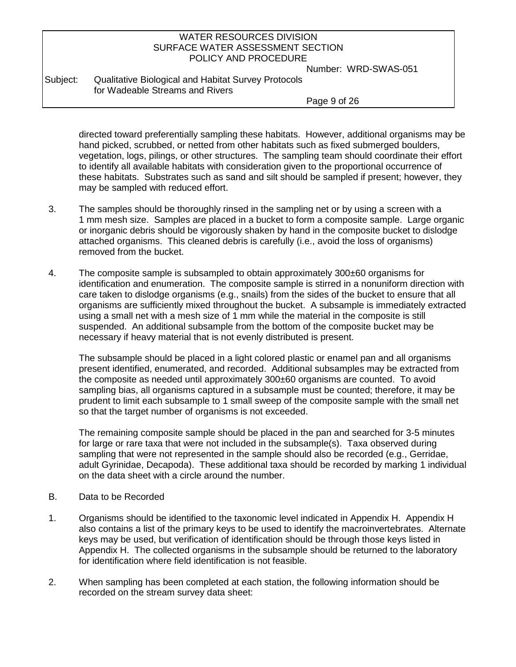Number: WRD-SWAS-051

Subject: Qualitative Biological and Habitat Survey Protocols for Wadeable Streams and Rivers

Page 9 of 26

directed toward preferentially sampling these habitats. However, additional organisms may be hand picked, scrubbed, or netted from other habitats such as fixed submerged boulders, vegetation, logs, pilings, or other structures. The sampling team should coordinate their effort to identify all available habitats with consideration given to the proportional occurrence of these habitats. Substrates such as sand and silt should be sampled if present; however, they may be sampled with reduced effort.

- 3. The samples should be thoroughly rinsed in the sampling net or by using a screen with a 1 mm mesh size. Samples are placed in a bucket to form a composite sample. Large organic or inorganic debris should be vigorously shaken by hand in the composite bucket to dislodge attached organisms. This cleaned debris is carefully (i.e., avoid the loss of organisms) removed from the bucket.
- 4. The composite sample is subsampled to obtain approximately 300±60 organisms for identification and enumeration. The composite sample is stirred in a nonuniform direction with care taken to dislodge organisms (e.g., snails) from the sides of the bucket to ensure that all organisms are sufficiently mixed throughout the bucket. A subsample is immediately extracted using a small net with a mesh size of 1 mm while the material in the composite is still suspended. An additional subsample from the bottom of the composite bucket may be necessary if heavy material that is not evenly distributed is present.

The subsample should be placed in a light colored plastic or enamel pan and all organisms present identified, enumerated, and recorded. Additional subsamples may be extracted from the composite as needed until approximately 300±60 organisms are counted. To avoid sampling bias, all organisms captured in a subsample must be counted; therefore, it may be prudent to limit each subsample to 1 small sweep of the composite sample with the small net so that the target number of organisms is not exceeded.

The remaining composite sample should be placed in the pan and searched for 3-5 minutes for large or rare taxa that were not included in the subsample(s). Taxa observed during sampling that were not represented in the sample should also be recorded (e.g., Gerridae, adult Gyrinidae, Decapoda). These additional taxa should be recorded by marking 1 individual on the data sheet with a circle around the number.

- B. Data to be Recorded
- 1. Organisms should be identified to the taxonomic level indicated in Appendix H. Appendix H also contains a list of the primary keys to be used to identify the macroinvertebrates. Alternate keys may be used, but verification of identification should be through those keys listed in Appendix H. The collected organisms in the subsample should be returned to the laboratory for identification where field identification is not feasible.
- 2. When sampling has been completed at each station, the following information should be recorded on the stream survey data sheet: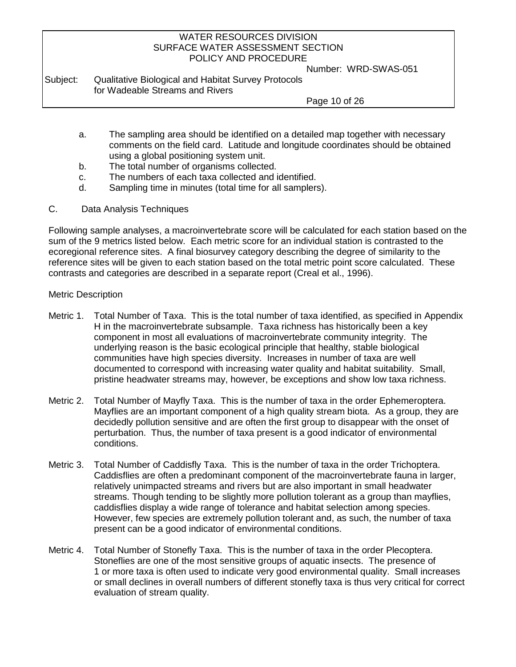Number: WRD-SWAS-051

Subject: Qualitative Biological and Habitat Survey Protocols for Wadeable Streams and Rivers

Page 10 of 26

- a. The sampling area should be identified on a detailed map together with necessary comments on the field card. Latitude and longitude coordinates should be obtained using a global positioning system unit.
- b. The total number of organisms collected.
- c. The numbers of each taxa collected and identified.
- d. Sampling time in minutes (total time for all samplers).
- C. Data Analysis Techniques

Following sample analyses, a macroinvertebrate score will be calculated for each station based on the sum of the 9 metrics listed below. Each metric score for an individual station is contrasted to the ecoregional reference sites. A final biosurvey category describing the degree of similarity to the reference sites will be given to each station based on the total metric point score calculated. These contrasts and categories are described in a separate report (Creal et al., 1996).

#### Metric Description

- Metric 1. Total Number of Taxa. This is the total number of taxa identified, as specified in Appendix H in the macroinvertebrate subsample. Taxa richness has historically been a key component in most all evaluations of macroinvertebrate community integrity. The underlying reason is the basic ecological principle that healthy, stable biological communities have high species diversity. Increases in number of taxa are well documented to correspond with increasing water quality and habitat suitability. Small, pristine headwater streams may, however, be exceptions and show low taxa richness.
- Metric 2. Total Number of Mayfly Taxa. This is the number of taxa in the order Ephemeroptera. Mayflies are an important component of a high quality stream biota. As a group, they are decidedly pollution sensitive and are often the first group to disappear with the onset of perturbation. Thus, the number of taxa present is a good indicator of environmental conditions.
- Metric 3. Total Number of Caddisfly Taxa. This is the number of taxa in the order Trichoptera. Caddisflies are often a predominant component of the macroinvertebrate fauna in larger, relatively unimpacted streams and rivers but are also important in small headwater streams. Though tending to be slightly more pollution tolerant as a group than mayflies, caddisflies display a wide range of tolerance and habitat selection among species. However, few species are extremely pollution tolerant and, as such, the number of taxa present can be a good indicator of environmental conditions.
- Metric 4. Total Number of Stonefly Taxa. This is the number of taxa in the order Plecoptera. Stoneflies are one of the most sensitive groups of aquatic insects. The presence of 1 or more taxa is often used to indicate very good environmental quality. Small increases or small declines in overall numbers of different stonefly taxa is thus very critical for correct evaluation of stream quality.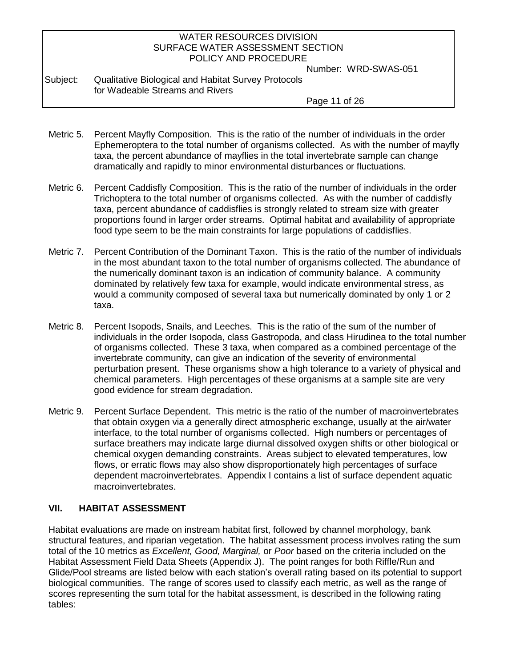Number: WRD-SWAS-051

Subject: Qualitative Biological and Habitat Survey Protocols for Wadeable Streams and Rivers

Page 11 of 26

- Metric 5. Percent Mayfly Composition. This is the ratio of the number of individuals in the order Ephemeroptera to the total number of organisms collected. As with the number of mayfly taxa, the percent abundance of mayflies in the total invertebrate sample can change dramatically and rapidly to minor environmental disturbances or fluctuations.
- Metric 6. Percent Caddisfly Composition. This is the ratio of the number of individuals in the order Trichoptera to the total number of organisms collected. As with the number of caddisfly taxa, percent abundance of caddisflies is strongly related to stream size with greater proportions found in larger order streams. Optimal habitat and availability of appropriate food type seem to be the main constraints for large populations of caddisflies.
- Metric 7. Percent Contribution of the Dominant Taxon. This is the ratio of the number of individuals in the most abundant taxon to the total number of organisms collected. The abundance of the numerically dominant taxon is an indication of community balance. A community dominated by relatively few taxa for example, would indicate environmental stress, as would a community composed of several taxa but numerically dominated by only 1 or 2 taxa.
- Metric 8. Percent Isopods, Snails, and Leeches. This is the ratio of the sum of the number of individuals in the order Isopoda, class Gastropoda, and class Hirudinea to the total number of organisms collected. These 3 taxa, when compared as a combined percentage of the invertebrate community, can give an indication of the severity of environmental perturbation present. These organisms show a high tolerance to a variety of physical and chemical parameters. High percentages of these organisms at a sample site are very good evidence for stream degradation.
- Metric 9. Percent Surface Dependent. This metric is the ratio of the number of macroinvertebrates that obtain oxygen via a generally direct atmospheric exchange, usually at the air/water interface, to the total number of organisms collected. High numbers or percentages of surface breathers may indicate large diurnal dissolved oxygen shifts or other biological or chemical oxygen demanding constraints. Areas subject to elevated temperatures, low flows, or erratic flows may also show disproportionately high percentages of surface dependent macroinvertebrates. Appendix I contains a list of surface dependent aquatic macroinvertebrates.

### **VII. HABITAT ASSESSMENT**

Habitat evaluations are made on instream habitat first, followed by channel morphology, bank structural features, and riparian vegetation. The habitat assessment process involves rating the sum total of the 10 metrics as *Excellent, Good, Marginal,* or *Poor* based on the criteria included on the Habitat Assessment Field Data Sheets (Appendix J). The point ranges for both Riffle/Run and Glide/Pool streams are listed below with each station's overall rating based on its potential to support biological communities. The range of scores used to classify each metric, as well as the range of scores representing the sum total for the habitat assessment, is described in the following rating tables: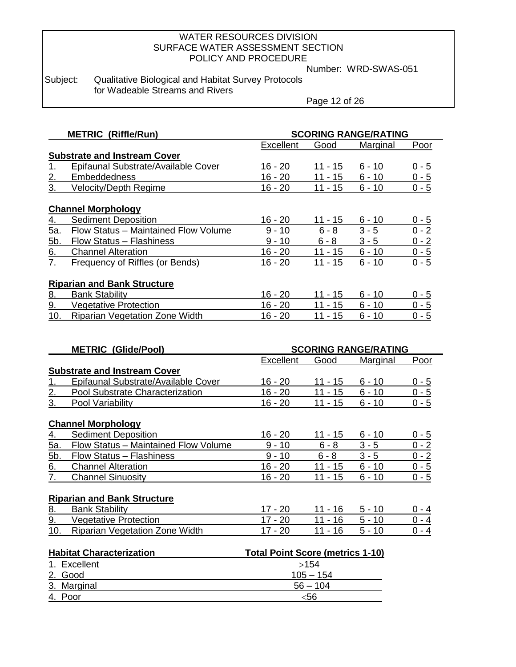Number: WRD-SWAS-051

Subject: Qualitative Biological and Habitat Survey Protocols for Wadeable Streams and Rivers

Page 12 of 26

|                  | <b>METRIC (Riffle/Run)</b>             |                                         | <b>SCORING RANGE/RATING</b> |                             |         |  |  |  |  |
|------------------|----------------------------------------|-----------------------------------------|-----------------------------|-----------------------------|---------|--|--|--|--|
|                  |                                        | <b>Excellent</b>                        | Good                        | Marginal                    | Poor    |  |  |  |  |
|                  | <b>Substrate and Instream Cover</b>    |                                         |                             |                             |         |  |  |  |  |
| 1.               | Epifaunal Substrate/Available Cover    | $16 - 20$                               | $11 - 15$                   | $6 - 10$                    | $0 - 5$ |  |  |  |  |
| 2.               | Embeddedness                           | $16 - 20$                               | $11 - 15$                   | $6 - 10$                    | $0 - 5$ |  |  |  |  |
| $\overline{3}$ . | <b>Velocity/Depth Regime</b>           | $16 - 20$                               | $11 - 15$                   | $6 - 10$                    | $0 - 5$ |  |  |  |  |
|                  | <b>Channel Morphology</b>              |                                         |                             |                             |         |  |  |  |  |
| 4.               | <b>Sediment Deposition</b>             | $16 - 20$                               | $11 - 15$                   | $6 - 10$                    | $0 - 5$ |  |  |  |  |
| 5a.              | Flow Status - Maintained Flow Volume   | $9 - 10$                                | $6 - 8$                     | $3 - 5$                     | $0 - 2$ |  |  |  |  |
|                  |                                        | $9 - 10$                                | $6 - 8$                     | $3 - 5$                     |         |  |  |  |  |
| 5b.              | Flow Status - Flashiness               |                                         |                             |                             | $0 - 2$ |  |  |  |  |
| 6.               | <b>Channel Alteration</b>              | $16 - 20$                               | $11 - 15$                   | $6 - 10$                    | $0 - 5$ |  |  |  |  |
| 7.               | <b>Frequency of Riffles (or Bends)</b> | $16 - 20$                               | $11 - 15$                   | $6 - 10$                    | $0 - 5$ |  |  |  |  |
|                  | <b>Riparian and Bank Structure</b>     |                                         |                             |                             |         |  |  |  |  |
| 8.               | <b>Bank Stability</b>                  | $16 - 20$                               | <u> 11 - 1</u> 5            | $6 - 10$                    | $0 - 5$ |  |  |  |  |
| 9.               | <b>Vegetative Protection</b>           | $16 - 20$                               | $11 - 15$                   | $6 - 10$                    | $0 - 5$ |  |  |  |  |
| 10.              | <b>Riparian Vegetation Zone Width</b>  | $16 - 20$                               | $11 - 15$                   | $6 - 10$                    | $0 - 5$ |  |  |  |  |
|                  |                                        |                                         |                             |                             |         |  |  |  |  |
|                  |                                        |                                         |                             |                             |         |  |  |  |  |
|                  | <b>METRIC (Glide/Pool)</b>             |                                         |                             | <b>SCORING RANGE/RATING</b> |         |  |  |  |  |
|                  |                                        | Excellent                               | Good                        | Marginal                    | Poor    |  |  |  |  |
|                  | <b>Substrate and Instream Cover</b>    |                                         |                             |                             |         |  |  |  |  |
| 1.               | Epifaunal Substrate/Available Cover    | $16 - 20$                               | $11 - 15$                   | $6 - 10$                    | $0 - 5$ |  |  |  |  |
| 2.               | Pool Substrate Characterization        | $16 - 20$                               | $11 - 15$                   | $6 - 10$                    | $0 - 5$ |  |  |  |  |
| 3.               | Pool Variability                       | $16 - 20$                               | $11 - 15$                   | $6 - 10$                    | $0 - 5$ |  |  |  |  |
|                  |                                        |                                         |                             |                             |         |  |  |  |  |
|                  | <b>Channel Morphology</b>              |                                         |                             |                             |         |  |  |  |  |
| $\overline{4}$ . | <b>Sediment Deposition</b>             | $16 - 20$                               | 11 - 15                     | $6 - 10$                    | $0 - 5$ |  |  |  |  |
| <u>5а.</u>       | Flow Status - Maintained Flow Volume   | $9 - 10$                                | $6 - 8$                     | $3 - 5$                     | $0 - 2$ |  |  |  |  |
| 5 <sub>b</sub> . | <b>Flow Status - Flashiness</b>        | $9 - 10$                                | $6 - 8$                     | $3 - 5$                     | $0 - 2$ |  |  |  |  |
| 6.               | <b>Channel Alteration</b>              | $16 - 20$                               | $11 - 15$                   | $6 - 10$                    | $0 - 5$ |  |  |  |  |
| 7.               | <b>Channel Sinuosity</b>               | $16 - 20$                               | $11 - 15$                   | $6 - 10$                    | $0 - 5$ |  |  |  |  |
|                  |                                        |                                         |                             |                             |         |  |  |  |  |
|                  | <b>Riparian and Bank Structure</b>     |                                         |                             |                             |         |  |  |  |  |
| <u>8.</u>        | <b>Bank Stability</b>                  | $17 - 20$                               | $11 - 16$                   | $5 - 10$                    | $0 - 4$ |  |  |  |  |
| 9.               | <b>Vegetative Protection</b>           | $17 - 20$                               | $11 - 16$                   | $5 - 10$                    | $0 - 4$ |  |  |  |  |
| 10.              | <b>Riparian Vegetation Zone Width</b>  | $17 - 20$                               | $11 - 16$                   | $5 - 10$                    | $0 - 4$ |  |  |  |  |
|                  |                                        |                                         |                             |                             |         |  |  |  |  |
|                  | <b>Habitat Characterization</b>        | <b>Total Point Score (metrics 1-10)</b> |                             |                             |         |  |  |  |  |
|                  | 1. Excellent                           |                                         | >154                        |                             |         |  |  |  |  |
|                  | 2. Good                                |                                         | $105 - 154$                 |                             |         |  |  |  |  |
|                  | 3. Marginal                            |                                         | $56 - 104$                  |                             |         |  |  |  |  |
|                  | 4. Poor                                |                                         | $<$ 56                      |                             |         |  |  |  |  |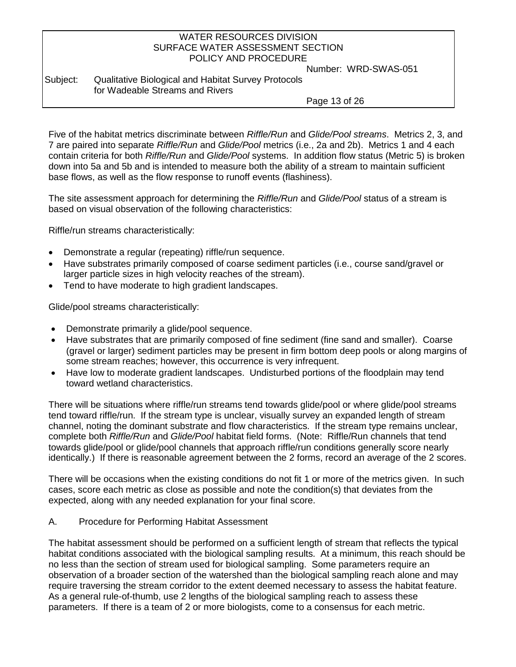Number: WRD-SWAS-051

## Subject: Qualitative Biological and Habitat Survey Protocols for Wadeable Streams and Rivers

Page 13 of 26

Five of the habitat metrics discriminate between *Riffle/Run* and *Glide/Pool streams*. Metrics 2, 3, and 7 are paired into separate *Riffle/Run* and *Glide/Pool* metrics (i.e., 2a and 2b). Metrics 1 and 4 each contain criteria for both *Riffle/Run* and *Glide/Pool* systems. In addition flow status (Metric 5) is broken down into 5a and 5b and is intended to measure both the ability of a stream to maintain sufficient base flows, as well as the flow response to runoff events (flashiness).

The site assessment approach for determining the *Riffle/Run* and *Glide/Pool* status of a stream is based on visual observation of the following characteristics:

Riffle/run streams characteristically:

- Demonstrate a regular (repeating) riffle/run sequence.
- Have substrates primarily composed of coarse sediment particles (i.e., course sand/gravel or larger particle sizes in high velocity reaches of the stream).
- Tend to have moderate to high gradient landscapes.

Glide/pool streams characteristically:

- Demonstrate primarily a glide/pool sequence.
- Have substrates that are primarily composed of fine sediment (fine sand and smaller). Coarse (gravel or larger) sediment particles may be present in firm bottom deep pools or along margins of some stream reaches; however, this occurrence is very infrequent.
- Have low to moderate gradient landscapes. Undisturbed portions of the floodplain may tend toward wetland characteristics.

There will be situations where riffle/run streams tend towards glide/pool or where glide/pool streams tend toward riffle/run. If the stream type is unclear, visually survey an expanded length of stream channel, noting the dominant substrate and flow characteristics. If the stream type remains unclear, complete both *Riffle/Run* and *Glide/Pool* habitat field forms. (Note: Riffle/Run channels that tend towards glide/pool or glide/pool channels that approach riffle/run conditions generally score nearly identically.) If there is reasonable agreement between the 2 forms, record an average of the 2 scores.

There will be occasions when the existing conditions do not fit 1 or more of the metrics given. In such cases, score each metric as close as possible and note the condition(s) that deviates from the expected, along with any needed explanation for your final score.

### A. Procedure for Performing Habitat Assessment

The habitat assessment should be performed on a sufficient length of stream that reflects the typical habitat conditions associated with the biological sampling results. At a minimum, this reach should be no less than the section of stream used for biological sampling. Some parameters require an observation of a broader section of the watershed than the biological sampling reach alone and may require traversing the stream corridor to the extent deemed necessary to assess the habitat feature. As a general rule-of-thumb, use 2 lengths of the biological sampling reach to assess these parameters. If there is a team of 2 or more biologists, come to a consensus for each metric.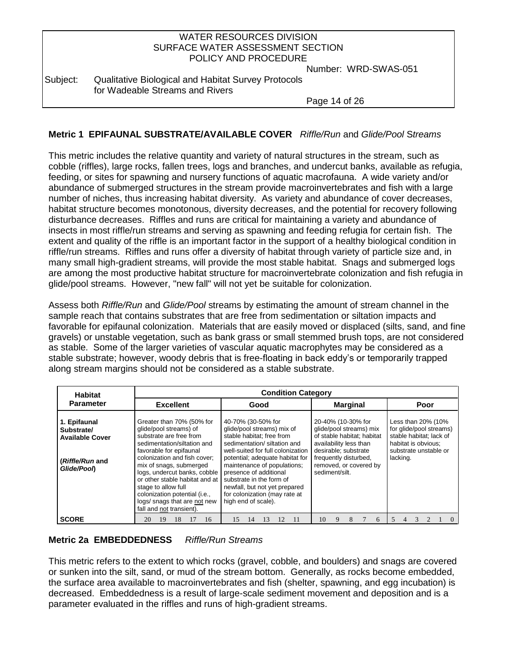| WATER RESOURCES DIVISION         |  |
|----------------------------------|--|
| SURFACE WATER ASSESSMENT SECTION |  |
| POLICY AND PROCEDURE             |  |
| Number: WRD-SV                   |  |

Number: WRD-SWAS-051

Subject: Qualitative Biological and Habitat Survey Protocols for Wadeable Streams and Rivers

Page 14 of 26

## **Metric 1 EPIFAUNAL SUBSTRATE/AVAILABLE COVER** *Riffle/Run* and *Glide/Pool* S*treams*

This metric includes the relative quantity and variety of natural structures in the stream, such as cobble (riffles), large rocks, fallen trees, logs and branches, and undercut banks, available as refugia, feeding, or sites for spawning and nursery functions of aquatic macrofauna. A wide variety and/or abundance of submerged structures in the stream provide macroinvertebrates and fish with a large number of niches, thus increasing habitat diversity. As variety and abundance of cover decreases, habitat structure becomes monotonous, diversity decreases, and the potential for recovery following disturbance decreases. Riffles and runs are critical for maintaining a variety and abundance of insects in most riffle/run streams and serving as spawning and feeding refugia for certain fish. The extent and quality of the riffle is an important factor in the support of a healthy biological condition in riffle/run streams. Riffles and runs offer a diversity of habitat through variety of particle size and, in many small high-gradient streams, will provide the most stable habitat. Snags and submerged logs are among the most productive habitat structure for macroinvertebrate colonization and fish refugia in glide/pool streams. However, "new fall" will not yet be suitable for colonization.

Assess both *Riffle/Run* and *Glide/Pool* streams by estimating the amount of stream channel in the sample reach that contains substrates that are free from sedimentation or siltation impacts and favorable for epifaunal colonization. Materials that are easily moved or displaced (silts, sand, and fine gravels) or unstable vegetation, such as bank grass or small stemmed brush tops, are not considered as stable. Some of the larger varieties of vascular aquatic macrophytes may be considered as a stable substrate; however, woody debris that is free-floating in back eddy's or temporarily trapped along stream margins should not be considered as a stable substrate.

| <b>Habitat</b>                                                                        | <b>Condition Category</b>                                                                                                                                                                                                                                                                                                                                                                 |                                                                                                                                                                                                                                                                                                                                                                     |                                                                                                                                                                                                    |                                                                                                                                      |  |  |  |  |  |  |  |  |
|---------------------------------------------------------------------------------------|-------------------------------------------------------------------------------------------------------------------------------------------------------------------------------------------------------------------------------------------------------------------------------------------------------------------------------------------------------------------------------------------|---------------------------------------------------------------------------------------------------------------------------------------------------------------------------------------------------------------------------------------------------------------------------------------------------------------------------------------------------------------------|----------------------------------------------------------------------------------------------------------------------------------------------------------------------------------------------------|--------------------------------------------------------------------------------------------------------------------------------------|--|--|--|--|--|--|--|--|
| <b>Parameter</b>                                                                      | <b>Excellent</b>                                                                                                                                                                                                                                                                                                                                                                          | Good                                                                                                                                                                                                                                                                                                                                                                | <b>Marginal</b>                                                                                                                                                                                    | Poor                                                                                                                                 |  |  |  |  |  |  |  |  |
| 1. Epifaunal<br>Substrate/<br><b>Available Cover</b><br>(Riffle/Run and<br>Glide/Poon | Greater than 70% (50% for<br>glide/pool streams) of<br>substrate are free from<br>sedimentation/siltation and<br>favorable for epifaunal<br>colonization and fish cover:<br>mix of snags, submerged<br>logs, undercut banks, cobble<br>or other stable habitat and at<br>stage to allow full<br>colonization potential (i.e.,<br>logs/ snags that are not new<br>fall and not transient). | 40-70% (30-50% for<br>glide/pool streams) mix of<br>stable habitat: free from<br>sedimentation/ siltation and<br>well-suited for full colonization<br>potential; adequate habitat for<br>maintenance of populations;<br>presence of additional<br>substrate in the form of<br>newfall, but not yet prepared<br>for colonization (may rate at<br>high end of scale). | 20-40% (10-30% for<br>glide/pool streams) mix<br>of stable habitat; habitat<br>availability less than<br>desirable; substrate<br>frequently disturbed.<br>removed, or covered by<br>sediment/silt. | Less than 20% (10%<br>for glide/pool streams)<br>stable habitat; lack of<br>habitat is obvious;<br>substrate unstable or<br>lacking. |  |  |  |  |  |  |  |  |
| <b>SCORE</b>                                                                          | 16<br>20<br>18<br>19                                                                                                                                                                                                                                                                                                                                                                      | 11<br>15<br>13<br>14                                                                                                                                                                                                                                                                                                                                                | 10<br>9<br>6                                                                                                                                                                                       |                                                                                                                                      |  |  |  |  |  |  |  |  |

### **Metric 2a EMBEDDEDNESS** *Riffle/Run Streams*

This metric refers to the extent to which rocks (gravel, cobble, and boulders) and snags are covered or sunken into the silt, sand, or mud of the stream bottom. Generally, as rocks become embedded, the surface area available to macroinvertebrates and fish (shelter, spawning, and egg incubation) is decreased. Embeddedness is a result of large-scale sediment movement and deposition and is a parameter evaluated in the riffles and runs of high-gradient streams.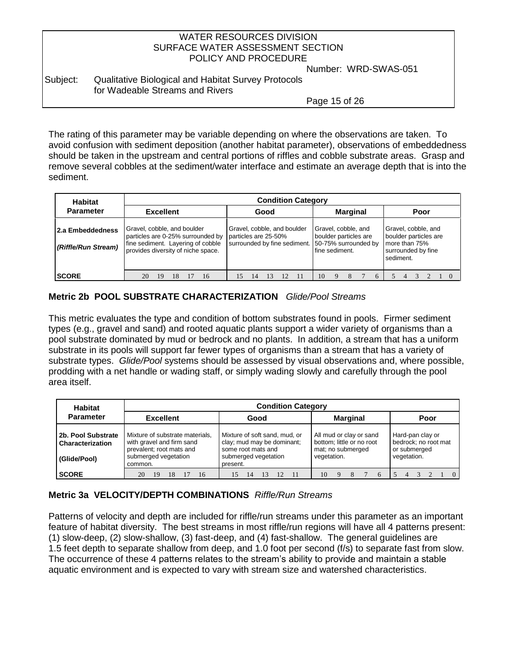Number: WRD-SWAS-051

### Subject: Qualitative Biological and Habitat Survey Protocols for Wadeable Streams and Rivers

Page 15 of 26

The rating of this parameter may be variable depending on where the observations are taken. To avoid confusion with sediment deposition (another habitat parameter), observations of embeddedness should be taken in the upstream and central portions of riffles and cobble substrate areas. Grasp and remove several cobbles at the sediment/water interface and estimate an average depth that is into the sediment.

| <b>Habitat</b>                          |                                                                                                                                             | <b>Condition Category</b>                                                           |  |      |    |    |                                                                                        |                                                                                                  |  |  |    |  |  |  |  |  |  |  |  |  |
|-----------------------------------------|---------------------------------------------------------------------------------------------------------------------------------------------|-------------------------------------------------------------------------------------|--|------|----|----|----------------------------------------------------------------------------------------|--------------------------------------------------------------------------------------------------|--|--|----|--|--|--|--|--|--|--|--|--|
| <b>Parameter</b>                        | <b>Excellent</b>                                                                                                                            |                                                                                     |  | Good |    |    |                                                                                        | Poor                                                                                             |  |  |    |  |  |  |  |  |  |  |  |  |
| 2.a Embeddedness<br>(Riffle/Run Stream) | Gravel, cobble, and boulder<br>particles are 0-25% surrounded by<br>fine sediment. Layering of cobble<br>provides diversity of niche space. | Gravel, cobble, and boulder<br>particles are 25-50%<br>surrounded by fine sediment. |  |      |    |    | Gravel, cobble, and<br>boulder particles are<br>50-75% surrounded by<br>fine sediment. | Gravel, cobble, and<br>boulder particles are<br>more than 75%<br>surrounded by fine<br>sediment. |  |  |    |  |  |  |  |  |  |  |  |  |
| <b>SCORE</b>                            | 20                                                                                                                                          | 19                                                                                  |  |      | 16 | 15 |                                                                                        |                                                                                                  |  |  | 10 |  |  |  |  |  |  |  |  |  |

## **Metric 2b POOL SUBSTRATE CHARACTERIZATION** *Glide/Pool Streams*

This metric evaluates the type and condition of bottom substrates found in pools. Firmer sediment types (e.g., gravel and sand) and rooted aquatic plants support a wider variety of organisms than a pool substrate dominated by mud or bedrock and no plants. In addition, a stream that has a uniform substrate in its pools will support far fewer types of organisms than a stream that has a variety of substrate types. *Glide/Pool* systems should be assessed by visual observations and, where possible, prodding with a net handle or wading staff, or simply wading slowly and carefully through the pool area itself.

| <b>Habitat</b>                                         | <b>Condition Category</b>                                                                                                   |                                                                                                                       |                                                                                          |                                                                         |  |  |  |  |  |  |  |  |  |
|--------------------------------------------------------|-----------------------------------------------------------------------------------------------------------------------------|-----------------------------------------------------------------------------------------------------------------------|------------------------------------------------------------------------------------------|-------------------------------------------------------------------------|--|--|--|--|--|--|--|--|--|
| <b>Parameter</b>                                       | <b>Excellent</b>                                                                                                            | Good                                                                                                                  | <b>Marginal</b>                                                                          | Poor                                                                    |  |  |  |  |  |  |  |  |  |
| 2b. Pool Substrate<br>Characterization<br>(Glide/Pool) | Mixture of substrate materials.<br>with gravel and firm sand<br>prevalent; root mats and<br>submerged vegetation<br>common. | Mixture of soft sand, mud, or<br>clay; mud may be dominant;<br>some root mats and<br>submerged vegetation<br>present. | All mud or clay or sand<br>bottom; little or no root<br>mat; no submerged<br>vegetation. | Hard-pan clay or<br>bedrock; no root mat<br>or submerged<br>vegetation. |  |  |  |  |  |  |  |  |  |
| <b>SCORE</b>                                           | 20<br>19<br>16                                                                                                              |                                                                                                                       | 10                                                                                       |                                                                         |  |  |  |  |  |  |  |  |  |

## **Metric 3a VELOCITY/DEPTH COMBINATIONS** *Riffle/Run Streams*

Patterns of velocity and depth are included for riffle/run streams under this parameter as an important feature of habitat diversity. The best streams in most riffle/run regions will have all 4 patterns present: (1) slow-deep, (2) slow-shallow, (3) fast-deep, and (4) fast-shallow. The general guidelines are 1.5 feet depth to separate shallow from deep, and 1.0 foot per second (f/s) to separate fast from slow. The occurrence of these 4 patterns relates to the stream's ability to provide and maintain a stable aquatic environment and is expected to vary with stream size and watershed characteristics.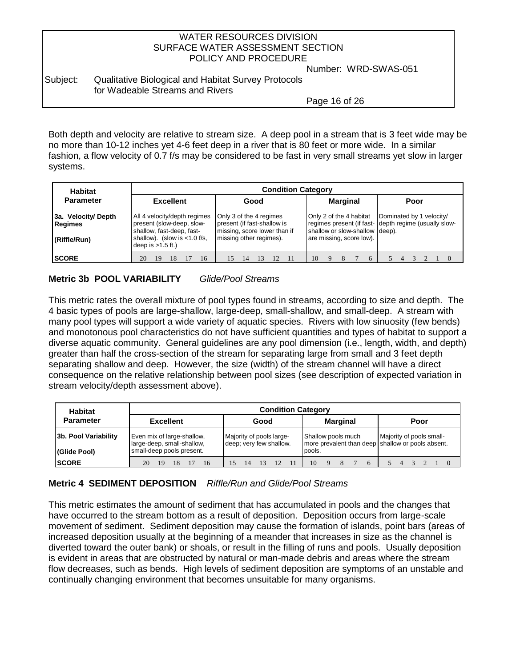Number: WRD-SWAS-051

### Subject: Qualitative Biological and Habitat Survey Protocols for Wadeable Streams and Rivers

Page 16 of 26

Both depth and velocity are relative to stream size. A deep pool in a stream that is 3 feet wide may be no more than 10-12 inches yet 4-6 feet deep in a river that is 80 feet or more wide. In a similar fashion, a flow velocity of 0.7 f/s may be considered to be fast in very small streams yet slow in larger systems.

| <b>Habitat</b>                                       | <b>Condition Category</b>                                                                                                                        |                                                                                                                   |                                                                                       |                                                                                   |  |  |  |  |  |  |  |  |  |
|------------------------------------------------------|--------------------------------------------------------------------------------------------------------------------------------------------------|-------------------------------------------------------------------------------------------------------------------|---------------------------------------------------------------------------------------|-----------------------------------------------------------------------------------|--|--|--|--|--|--|--|--|--|
| <b>Parameter</b>                                     | <b>Excellent</b>                                                                                                                                 | Good                                                                                                              | <b>Marginal</b>                                                                       | Poor                                                                              |  |  |  |  |  |  |  |  |  |
| 3a. Velocity/Depth<br><b>Regimes</b><br>(Riffle/Run) | All 4 velocity/depth regimes<br>present (slow-deep, slow-<br>shallow, fast-deep, fast-<br>shallow). (slow is $<$ 1.0 f/s,<br>deep is $>1.5$ ft.) | Only 3 of the 4 regimes<br>present (if fast-shallow is<br>missing, score lower than if<br>missing other regimes). | Only 2 of the 4 habitat<br>shallow or slow-shallow deep).<br>are missing, score low). | Dominated by 1 velocity/<br>regimes present (if fast- depth regime (usually slow- |  |  |  |  |  |  |  |  |  |
| <b>SCORE</b>                                         | 20<br>16<br>19<br>18                                                                                                                             | -11<br>15<br>14                                                                                                   | 10<br>6                                                                               |                                                                                   |  |  |  |  |  |  |  |  |  |

## **Metric 3b POOL VARIABILITY** *Glide/Pool Streams*

This metric rates the overall mixture of pool types found in streams, according to size and depth. The 4 basic types of pools are large-shallow, large-deep, small-shallow, and small-deep. A stream with many pool types will support a wide variety of aquatic species. Rivers with low sinuosity (few bends) and monotonous pool characteristics do not have sufficient quantities and types of habitat to support a diverse aquatic community. General guidelines are any pool dimension (i.e., length, width, and depth) greater than half the cross-section of the stream for separating large from small and 3 feet depth separating shallow and deep. However, the size (width) of the stream channel will have a direct consequence on the relative relationship between pool sizes (see description of expected variation in stream velocity/depth assessment above).

| <b>Habitat</b>       |                                                          | <b>Condition Category</b>                           |                                                                         |                          |  |  |  |  |  |  |  |  |  |
|----------------------|----------------------------------------------------------|-----------------------------------------------------|-------------------------------------------------------------------------|--------------------------|--|--|--|--|--|--|--|--|--|
| <b>Parameter</b>     | <b>Excellent</b>                                         | Good                                                | <b>Marginal</b>                                                         | Poor                     |  |  |  |  |  |  |  |  |  |
| 3b. Pool Variability | Even mix of large-shallow,<br>large-deep, small-shallow, | Majority of pools large-<br>deep; very few shallow. | Shallow pools much<br>more prevalent than deep shallow or pools absent. | Majority of pools small- |  |  |  |  |  |  |  |  |  |
| (Glide Pool)         | small-deep pools present.                                |                                                     | pools.                                                                  |                          |  |  |  |  |  |  |  |  |  |
| <b>SCORE</b>         | 16<br>20<br>19                                           | 15<br>14                                            | 10<br>6                                                                 |                          |  |  |  |  |  |  |  |  |  |

## **Metric 4 SEDIMENT DEPOSITION** *Riffle/Run and Glide/Pool Streams*

This metric estimates the amount of sediment that has accumulated in pools and the changes that have occurred to the stream bottom as a result of deposition. Deposition occurs from large-scale movement of sediment. Sediment deposition may cause the formation of islands, point bars (areas of increased deposition usually at the beginning of a meander that increases in size as the channel is diverted toward the outer bank) or shoals, or result in the filling of runs and pools. Usually deposition is evident in areas that are obstructed by natural or man-made debris and areas where the stream flow decreases, such as bends. High levels of sediment deposition are symptoms of an unstable and continually changing environment that becomes unsuitable for many organisms.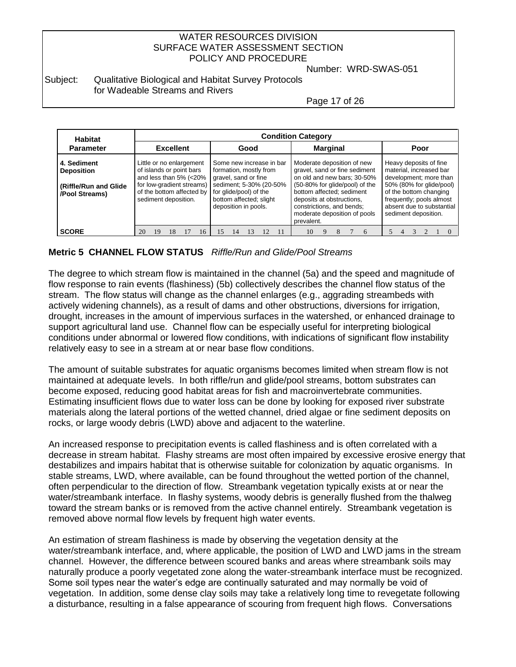Number: WRD-SWAS-051

### Subject: Qualitative Biological and Habitat Survey Protocols for Wadeable Streams and Rivers

Page 17 of 26

| <b>Habitat</b>                                             |                                                                                                             | <b>Condition Category</b>                         |    |  |    |                                                                                                       |    |  |  |  |                                                                                                                                   |  |   |                 |   |                                                    |                                                                                                         |  |      |  |                           |  |  |  |
|------------------------------------------------------------|-------------------------------------------------------------------------------------------------------------|---------------------------------------------------|----|--|----|-------------------------------------------------------------------------------------------------------|----|--|--|--|-----------------------------------------------------------------------------------------------------------------------------------|--|---|-----------------|---|----------------------------------------------------|---------------------------------------------------------------------------------------------------------|--|------|--|---------------------------|--|--|--|
| <b>Parameter</b>                                           | <b>Excellent</b>                                                                                            |                                                   |    |  |    | Good                                                                                                  |    |  |  |  |                                                                                                                                   |  |   | <b>Marginal</b> |   |                                                    |                                                                                                         |  | Poor |  |                           |  |  |  |
| 4. Sediment<br><b>Deposition</b><br>(Riffle/Run and Glide) | Little or no enlargement<br>of islands or point bars<br>and less than 5% (<20%<br>for low-gradient streams) |                                                   |    |  |    | Some new increase in bar<br>formation, mostly from<br>gravel, sand or fine<br>sediment; 5-30% (20-50% |    |  |  |  | Moderate deposition of new<br>gravel, sand or fine sediment<br>on old and new bars; 30-50%<br>(50-80% for glide/pool) of the      |  |   |                 |   |                                                    | Heavy deposits of fine<br>material, increased bar<br>development; more than<br>50% (80% for glide/pool) |  |      |  |                           |  |  |  |
| /Pool Streams)                                             |                                                                                                             | of the bottom affected by<br>sediment deposition. |    |  |    | for glide/pool) of the<br>bottom affected; slight<br>deposition in pools.                             |    |  |  |  | bottom affected; sediment<br>deposits at obstructions,<br>constrictions, and bends;<br>moderate deposition of pools<br>prevalent. |  |   |                 |   | of the bottom changing<br>frequently; pools almost | sediment deposition.                                                                                    |  |      |  | absent due to substantial |  |  |  |
| <b>SCORE</b>                                               | 20                                                                                                          | 19                                                | 18 |  | 16 |                                                                                                       | 14 |  |  |  | 10                                                                                                                                |  | 8 |                 | 6 |                                                    |                                                                                                         |  |      |  |                           |  |  |  |

## **Metric 5 CHANNEL FLOW STATUS** *Riffle/Run and Glide/Pool Streams*

The degree to which stream flow is maintained in the channel (5a) and the speed and magnitude of flow response to rain events (flashiness) (5b) collectively describes the channel flow status of the stream. The flow status will change as the channel enlarges (e.g., aggrading streambeds with actively widening channels), as a result of dams and other obstructions, diversions for irrigation, drought, increases in the amount of impervious surfaces in the watershed, or enhanced drainage to support agricultural land use. Channel flow can be especially useful for interpreting biological conditions under abnormal or lowered flow conditions, with indications of significant flow instability relatively easy to see in a stream at or near base flow conditions.

The amount of suitable substrates for aquatic organisms becomes limited when stream flow is not maintained at adequate levels. In both riffle/run and glide/pool streams, bottom substrates can become exposed, reducing good habitat areas for fish and macroinvertebrate communities. Estimating insufficient flows due to water loss can be done by looking for exposed river substrate materials along the lateral portions of the wetted channel, dried algae or fine sediment deposits on rocks, or large woody debris (LWD) above and adjacent to the waterline.

An increased response to precipitation events is called flashiness and is often correlated with a decrease in stream habitat. Flashy streams are most often impaired by excessive erosive energy that destabilizes and impairs habitat that is otherwise suitable for colonization by aquatic organisms. In stable streams, LWD, where available, can be found throughout the wetted portion of the channel, often perpendicular to the direction of flow. Streambank vegetation typically exists at or near the water/streambank interface. In flashy systems, woody debris is generally flushed from the thalweg toward the stream banks or is removed from the active channel entirely. Streambank vegetation is removed above normal flow levels by frequent high water events.

An estimation of stream flashiness is made by observing the vegetation density at the water/streambank interface, and, where applicable, the position of LWD and LWD jams in the stream channel. However, the difference between scoured banks and areas where streambank soils may naturally produce a poorly vegetated zone along the water-streambank interface must be recognized. Some soil types near the water's edge are continually saturated and may normally be void of vegetation. In addition, some dense clay soils may take a relatively long time to revegetate following a disturbance, resulting in a false appearance of scouring from frequent high flows. Conversations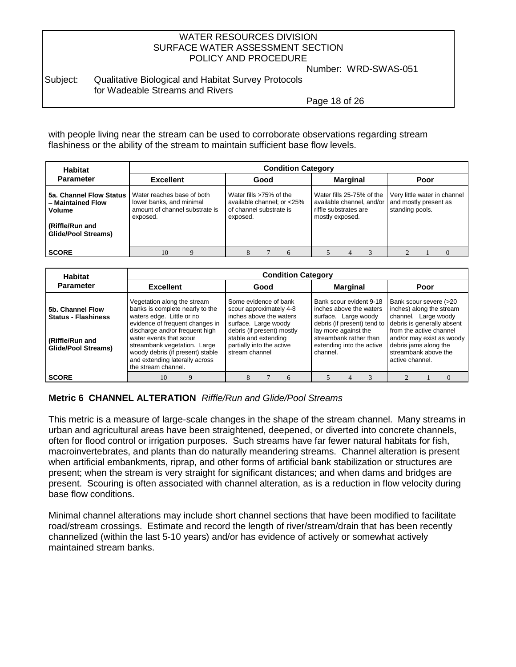Number: WRD-SWAS-051

#### Subject: Qualitative Biological and Habitat Survey Protocols for Wadeable Streams and Rivers

Page 18 of 26

with people living near the stream can be used to corroborate observations regarding stream flashiness or the ability of the stream to maintain sufficient base flow levels.

| <b>Habitat</b>                                                               | <b>Condition Category</b>                                                                                                      |                                                                                              |                                                                                                    |                                                                          |  |  |  |  |  |  |  |  |  |
|------------------------------------------------------------------------------|--------------------------------------------------------------------------------------------------------------------------------|----------------------------------------------------------------------------------------------|----------------------------------------------------------------------------------------------------|--------------------------------------------------------------------------|--|--|--|--|--|--|--|--|--|
| <b>Parameter</b>                                                             | <b>Excellent</b>                                                                                                               | Good                                                                                         | <b>Marginal</b>                                                                                    | Poor                                                                     |  |  |  |  |  |  |  |  |  |
| - Maintained Flow<br>Volume<br>(Riffle/Run and<br><b>Glide/Pool Streams)</b> | 5a. Channel Flow Status   Water reaches base of both<br>lower banks, and minimal<br>amount of channel substrate is<br>exposed. | Water fills >75% of the<br>available channel; or <25%<br>of channel substrate is<br>exposed. | Water fills 25-75% of the<br>available channel, and/or<br>riffle substrates are<br>mostly exposed. | Very little water in channel<br>and mostly present as<br>standing pools. |  |  |  |  |  |  |  |  |  |
| <b>SCORE</b>                                                                 | 10                                                                                                                             |                                                                                              |                                                                                                    |                                                                          |  |  |  |  |  |  |  |  |  |

| <b>Habitat</b>                                                                                  | <b>Condition Category</b>                                                                                                                                                                                                                                                                                                |                                                                                                                                                                                                          |                                                                                                                                                                                                      |                                                                                                                                                                                                                                      |  |  |  |  |  |  |  |  |
|-------------------------------------------------------------------------------------------------|--------------------------------------------------------------------------------------------------------------------------------------------------------------------------------------------------------------------------------------------------------------------------------------------------------------------------|----------------------------------------------------------------------------------------------------------------------------------------------------------------------------------------------------------|------------------------------------------------------------------------------------------------------------------------------------------------------------------------------------------------------|--------------------------------------------------------------------------------------------------------------------------------------------------------------------------------------------------------------------------------------|--|--|--|--|--|--|--|--|
| <b>Parameter</b>                                                                                | <b>Excellent</b>                                                                                                                                                                                                                                                                                                         | Good                                                                                                                                                                                                     | <b>Marginal</b>                                                                                                                                                                                      | Poor                                                                                                                                                                                                                                 |  |  |  |  |  |  |  |  |
| 5b. Channel Flow<br><b>Status - Flashiness</b><br>(Riffle/Run and<br><b>Glide/Pool Streams)</b> | Vegetation along the stream<br>banks is complete nearly to the<br>waters edge. Little or no<br>evidence of frequent changes in<br>discharge and/or frequent high<br>water events that scour<br>streambank vegetation. Large<br>woody debris (if present) stable<br>and extending laterally across<br>the stream channel. | Some evidence of bank<br>scour approximately 4-8<br>inches above the waters<br>surface. Large woody<br>debris (if present) mostly<br>stable and extending<br>partially into the active<br>stream channel | Bank scour evident 9-18<br>inches above the waters<br>surface. Large woody<br>debris (if present) tend to<br>lay more against the<br>streambank rather than<br>extending into the active<br>channel. | Bank scour severe (>20<br>inches) along the stream<br>channel. Large woody<br>debris is generally absent<br>from the active channel<br>and/or may exist as woody<br>debris jams along the<br>streambank above the<br>active channel. |  |  |  |  |  |  |  |  |
| <b>SCORE</b>                                                                                    |                                                                                                                                                                                                                                                                                                                          |                                                                                                                                                                                                          |                                                                                                                                                                                                      |                                                                                                                                                                                                                                      |  |  |  |  |  |  |  |  |

## **Metric 6 CHANNEL ALTERATION** *Riffle/Run and Glide/Pool Streams*

This metric is a measure of large-scale changes in the shape of the stream channel. Many streams in urban and agricultural areas have been straightened, deepened, or diverted into concrete channels, often for flood control or irrigation purposes. Such streams have far fewer natural habitats for fish, macroinvertebrates, and plants than do naturally meandering streams. Channel alteration is present when artificial embankments, riprap, and other forms of artificial bank stabilization or structures are present; when the stream is very straight for significant distances; and when dams and bridges are present. Scouring is often associated with channel alteration, as is a reduction in flow velocity during base flow conditions.

Minimal channel alterations may include short channel sections that have been modified to facilitate road/stream crossings. Estimate and record the length of river/stream/drain that has been recently channelized (within the last 5-10 years) and/or has evidence of actively or somewhat actively maintained stream banks.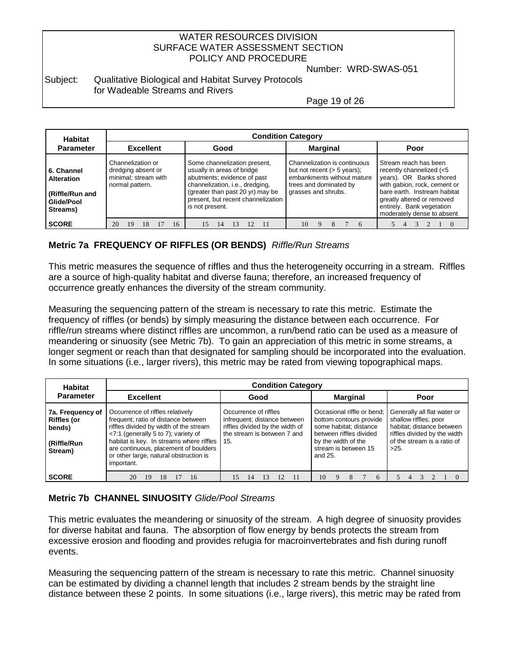Number: WRD-SWAS-051

#### Subject: Qualitative Biological and Habitat Survey Protocols for Wadeable Streams and Rivers

Page 19 of 26

| <b>Habitat</b>                                                                                   | <b>Condition Category</b>                                                          |    |      |    |                                                                                                                                                                                                                           |                 |    |  |                                                                                                                                              |  |  |   |                                                                                                                                                                                                                                       |  |  |  |
|--------------------------------------------------------------------------------------------------|------------------------------------------------------------------------------------|----|------|----|---------------------------------------------------------------------------------------------------------------------------------------------------------------------------------------------------------------------------|-----------------|----|--|----------------------------------------------------------------------------------------------------------------------------------------------|--|--|---|---------------------------------------------------------------------------------------------------------------------------------------------------------------------------------------------------------------------------------------|--|--|--|
| <b>Parameter</b>                                                                                 | <b>Excellent</b>                                                                   |    | Good |    |                                                                                                                                                                                                                           | <b>Marginal</b> |    |  | Poor                                                                                                                                         |  |  |   |                                                                                                                                                                                                                                       |  |  |  |
| <b>6. Channel</b><br><b>Alteration</b><br><b>Riffle/Run and</b><br><b>Glide/Pool</b><br>Streams) | Channelization or<br>dredging absent or<br>minimal; stream with<br>normal pattern. |    |      |    | Some channelization present,<br>usually in areas of bridge<br>abutments; evidence of past<br>channelization, i.e., dredging,<br>(greater than past 20 yr) may be<br>present, but recent channelization<br>is not present. |                 |    |  | Channelization is continuous<br>but not recent $(> 5$ years);<br>embankments without mature<br>trees and dominated by<br>grasses and shrubs. |  |  |   | Stream reach has been<br>recently channelized (<5<br>years). OR Banks shored<br>with gabion, rock, cement or<br>bare earth. Instream habitat<br>greatly altered or removed<br>entirely. Bank vegetation<br>moderately dense to absent |  |  |  |
| <b>SCORE</b>                                                                                     | 20<br>19                                                                           | 18 |      | 16 | 15                                                                                                                                                                                                                        | 14              | 12 |  | 10                                                                                                                                           |  |  | 6 |                                                                                                                                                                                                                                       |  |  |  |

## **Metric 7a FREQUENCY OF RIFFLES (OR BENDS)** *Riffle/Run Streams*

This metric measures the sequence of riffles and thus the heterogeneity occurring in a stream. Riffles are a source of high-quality habitat and diverse fauna; therefore, an increased frequency of occurrence greatly enhances the diversity of the stream community.

Measuring the sequencing pattern of the stream is necessary to rate this metric. Estimate the frequency of riffles (or bends) by simply measuring the distance between each occurrence. For riffle/run streams where distinct riffles are uncommon, a run/bend ratio can be used as a measure of meandering or sinuosity (see Metric 7b). To gain an appreciation of this metric in some streams, a longer segment or reach than that designated for sampling should be incorporated into the evaluation. In some situations (i.e., larger rivers), this metric may be rated from viewing topographical maps.

| <b>Habitat</b>                                                             |                                                                                                                                                                                                                                                                                                           | <b>Condition Category</b>                                                                                               |                                                                                                                                                                      |                                                                                                                                                             |
|----------------------------------------------------------------------------|-----------------------------------------------------------------------------------------------------------------------------------------------------------------------------------------------------------------------------------------------------------------------------------------------------------|-------------------------------------------------------------------------------------------------------------------------|----------------------------------------------------------------------------------------------------------------------------------------------------------------------|-------------------------------------------------------------------------------------------------------------------------------------------------------------|
| <b>Parameter</b>                                                           | <b>Excellent</b>                                                                                                                                                                                                                                                                                          | Good                                                                                                                    | <b>Marginal</b>                                                                                                                                                      | Poor                                                                                                                                                        |
| 7a. Frequency of<br><b>Riffles (or</b><br>bends)<br>(Riffle/Run<br>Stream) | Occurrence of riffles relatively<br>frequent; ratio of distance between<br>riffles divided by width of the stream<br><7:1 (generally 5 to 7); variety of<br>habitat is key. In streams where riffles 15.<br>are continuous, placement of boulders<br>or other large, natural obstruction is<br>important. | Occurrence of riffles<br>infrequent; distance between<br>riffles divided by the width of<br>the stream is between 7 and | Occasional riffle or bend:<br>bottom contours provide<br>some habitat; distance<br>between riffles divided<br>by the width of the<br>stream is between 15<br>and 25. | Generally all flat water or<br>shallow riffles; poor<br>habitat; distance between<br>riffles divided by the width<br>of the stream is a ratio of<br>$>25$ . |
| <b>SCORE</b>                                                               | 20<br>16<br>19<br>18                                                                                                                                                                                                                                                                                      | 12<br>11<br>13<br>15<br>14                                                                                              | 10<br>9<br>6                                                                                                                                                         |                                                                                                                                                             |

## **Metric 7b CHANNEL SINUOSITY** *Glide/Pool Streams*

This metric evaluates the meandering or sinuosity of the stream. A high degree of sinuosity provides for diverse habitat and fauna. The absorption of flow energy by bends protects the stream from excessive erosion and flooding and provides refugia for macroinvertebrates and fish during runoff events.

Measuring the sequencing pattern of the stream is necessary to rate this metric. Channel sinuosity can be estimated by dividing a channel length that includes 2 stream bends by the straight line distance between these 2 points. In some situations (i.e., large rivers), this metric may be rated from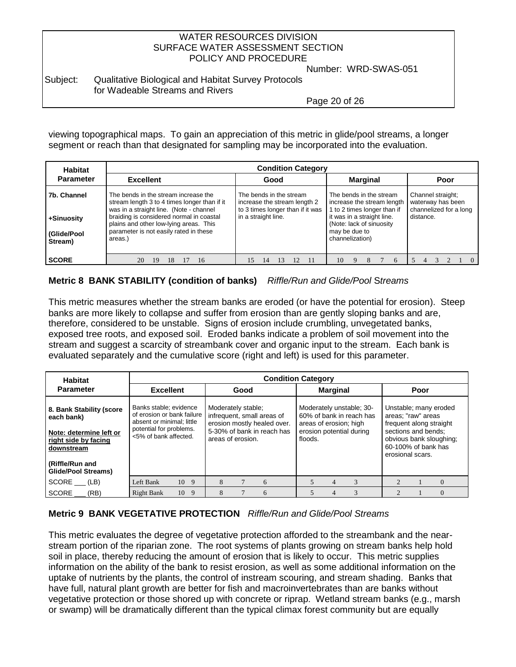Number: WRD-SWAS-051

#### Subject: Qualitative Biological and Habitat Survey Protocols for Wadeable Streams and Rivers

Page 20 of 26

viewing topographical maps. To gain an appreciation of this metric in glide/pool streams, a longer segment or reach than that designated for sampling may be incorporated into the evaluation.

| <b>Habitat</b>                                      | <b>Condition Category</b>                                                                                                                                                                                                                                                  |                                                                                                                    |                                                                                                                                                                                    |                                                                               |  |  |  |  |
|-----------------------------------------------------|----------------------------------------------------------------------------------------------------------------------------------------------------------------------------------------------------------------------------------------------------------------------------|--------------------------------------------------------------------------------------------------------------------|------------------------------------------------------------------------------------------------------------------------------------------------------------------------------------|-------------------------------------------------------------------------------|--|--|--|--|
| <b>Parameter</b>                                    | <b>Excellent</b>                                                                                                                                                                                                                                                           | Good                                                                                                               | <b>Marginal</b>                                                                                                                                                                    | Poor                                                                          |  |  |  |  |
| 7b. Channel<br>+Sinuosity<br>(Glide/Pool<br>Stream) | The bends in the stream increase the<br>stream length 3 to 4 times longer than if it<br>was in a straight line. (Note - channel<br>braiding is considered normal in coastal<br>plains and other low-lying areas. This<br>parameter is not easily rated in these<br>areas.) | The bends in the stream<br>increase the stream length 2<br>to 3 times longer than if it was<br>in a straight line. | The bends in the stream<br>increase the stream length<br>1 to 2 times longer than if<br>it was in a straight line.<br>(Note: lack of sinuosity<br>may be due to<br>channelization) | Channel straight;<br>waterway has been<br>channelized for a long<br>distance. |  |  |  |  |
| <b>SCORE</b>                                        | 20<br>19<br>18<br>16                                                                                                                                                                                                                                                       | 15<br>14                                                                                                           | 10<br>6                                                                                                                                                                            |                                                                               |  |  |  |  |

### **Metric 8 BANK STABILITY (condition of banks)** *Riffle/Run and Glide/Pool* S*treams*

This metric measures whether the stream banks are eroded (or have the potential for erosion). Steep banks are more likely to collapse and suffer from erosion than are gently sloping banks and are, therefore, considered to be unstable. Signs of erosion include crumbling, unvegetated banks, exposed tree roots, and exposed soil. Eroded banks indicate a problem of soil movement into the stream and suggest a scarcity of streambank cover and organic input to the stream. Each bank is evaluated separately and the cumulative score (right and left) is used for this parameter.

| <b>Habitat</b>                                                       | <b>Condition Category</b>                                                         |                                                                                 |                                                                                |                                                                                                                                                                     |  |  |  |  |
|----------------------------------------------------------------------|-----------------------------------------------------------------------------------|---------------------------------------------------------------------------------|--------------------------------------------------------------------------------|---------------------------------------------------------------------------------------------------------------------------------------------------------------------|--|--|--|--|
| <b>Parameter</b>                                                     | <b>Excellent</b>                                                                  | Good                                                                            | <b>Marginal</b>                                                                | Poor                                                                                                                                                                |  |  |  |  |
| 8. Bank Stability (score<br>each bank)                               | Banks stable; evidence<br>of erosion or bank failure<br>absent or minimal; little | Moderately stable;<br>infrequent, small areas of<br>erosion mostly healed over. | Moderately unstable; 30-<br>60% of bank in reach has<br>areas of erosion; high | Unstable; many eroded<br>areas; "raw" areas<br>frequent along straight<br>sections and bends:<br>obvious bank sloughing;<br>60-100% of bank has<br>erosional scars. |  |  |  |  |
| Note: determine left or<br>right side by facing<br><b>downstream</b> | potential for problems.<br><5% of bank affected.                                  | 5-30% of bank in reach has<br>areas of erosion.                                 | erosion potential during<br>floods.                                            |                                                                                                                                                                     |  |  |  |  |
| Riffle/Run and<br><b>Glide/Pool Streams)</b>                         |                                                                                   |                                                                                 |                                                                                |                                                                                                                                                                     |  |  |  |  |
| $SCORE$ (LB)                                                         | Left Bank<br>10 9                                                                 | 8<br>6                                                                          | 3                                                                              |                                                                                                                                                                     |  |  |  |  |
| SCORE<br>(RB)                                                        | 10<br><b>Right Bank</b><br>9                                                      | 8<br>6                                                                          | 3                                                                              | $\Omega$                                                                                                                                                            |  |  |  |  |

### **Metric 9 BANK VEGETATIVE PROTECTION** *Riffle/Run and Glide/Pool Streams*

This metric evaluates the degree of vegetative protection afforded to the streambank and the nearstream portion of the riparian zone. The root systems of plants growing on stream banks help hold soil in place, thereby reducing the amount of erosion that is likely to occur. This metric supplies information on the ability of the bank to resist erosion, as well as some additional information on the uptake of nutrients by the plants, the control of instream scouring, and stream shading. Banks that have full, natural plant growth are better for fish and macroinvertebrates than are banks without vegetative protection or those shored up with concrete or riprap. Wetland stream banks (e.g., marsh or swamp) will be dramatically different than the typical climax forest community but are equally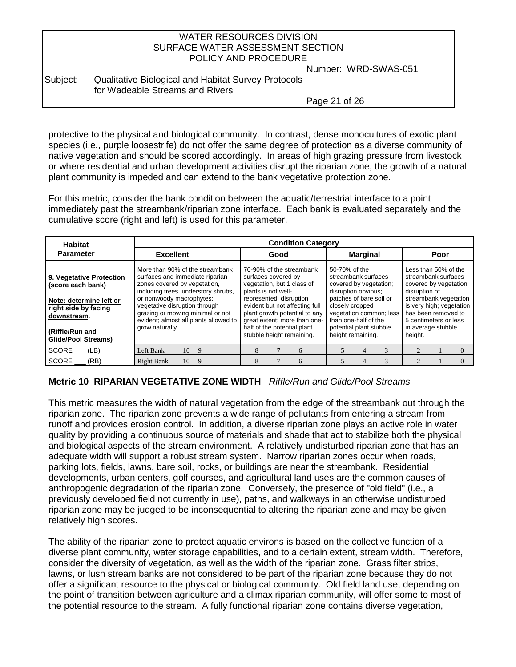Number: WRD-SWAS-051

Subject: Qualitative Biological and Habitat Survey Protocols for Wadeable Streams and Rivers

Page 21 of 26

protective to the physical and biological community. In contrast, dense monocultures of exotic plant species (i.e., purple loosestrife) do not offer the same degree of protection as a diverse community of native vegetation and should be scored accordingly. In areas of high grazing pressure from livestock or where residential and urban development activities disrupt the riparian zone, the growth of a natural plant community is impeded and can extend to the bank vegetative protection zone.

For this metric, consider the bank condition between the aquatic/terrestrial interface to a point immediately past the streambank/riparian zone interface. Each bank is evaluated separately and the cumulative score (right and left) is used for this parameter.

| <b>Habitat</b>                                                                    | <b>Condition Category</b>                                                                                                                                 |                                                                                                                                                                                        |                                                                                                                                               |                                                                                                                                    |  |  |  |  |  |
|-----------------------------------------------------------------------------------|-----------------------------------------------------------------------------------------------------------------------------------------------------------|----------------------------------------------------------------------------------------------------------------------------------------------------------------------------------------|-----------------------------------------------------------------------------------------------------------------------------------------------|------------------------------------------------------------------------------------------------------------------------------------|--|--|--|--|--|
| <b>Parameter</b>                                                                  | <b>Excellent</b>                                                                                                                                          | Good                                                                                                                                                                                   | <b>Marginal</b>                                                                                                                               | Poor                                                                                                                               |  |  |  |  |  |
| 9. Vegetative Protection<br>(score each bank)                                     | More than 90% of the streambank<br>surfaces and immediate riparian<br>zones covered by vegetation,<br>including trees, understory shrubs,                 | 70-90% of the streambank<br>surfaces covered by<br>vegetation, but 1 class of<br>plants is not well-                                                                                   | 50-70% of the<br>streambank surfaces<br>covered by vegetation;<br>disruption obvious:                                                         | Less than 50% of the<br>streambank surfaces<br>covered by vegetation;<br>disruption of                                             |  |  |  |  |  |
| Note: determine left or<br>right side by facing<br>downstream.<br>(Riffle/Run and | or nonwoody macrophytes;<br>vegetative disruption through<br>grazing or mowing minimal or not<br>evident; almost all plants allowed to<br>grow naturally. | represented; disruption<br>evident but not affecting full<br>plant growth potential to any<br>great extent; more than one-<br>half of the potential plant<br>stubble height remaining. | patches of bare soil or<br>closely cropped<br>vegetation common; less<br>than one-half of the<br>potential plant stubble<br>height remaining. | streambank vegetation<br>is very high; vegetation<br>has been removed to<br>5 centimeters or less<br>in average stubble<br>height. |  |  |  |  |  |
| <b>Glide/Pool Streams)</b>                                                        |                                                                                                                                                           |                                                                                                                                                                                        |                                                                                                                                               |                                                                                                                                    |  |  |  |  |  |
| $SCORE$ (LB)                                                                      | Left Bank<br>10<br>- 9                                                                                                                                    | 8<br>6                                                                                                                                                                                 |                                                                                                                                               |                                                                                                                                    |  |  |  |  |  |
| <b>SCORE</b><br>(RB)                                                              | 10<br>Right Bank<br>- 9                                                                                                                                   | 8<br>6                                                                                                                                                                                 | 3                                                                                                                                             |                                                                                                                                    |  |  |  |  |  |

## **Metric 10 RIPARIAN VEGETATIVE ZONE WIDTH** *Riffle/Run and Glide/Pool Streams*

This metric measures the width of natural vegetation from the edge of the streambank out through the riparian zone. The riparian zone prevents a wide range of pollutants from entering a stream from runoff and provides erosion control. In addition, a diverse riparian zone plays an active role in water quality by providing a continuous source of materials and shade that act to stabilize both the physical and biological aspects of the stream environment. A relatively undisturbed riparian zone that has an adequate width will support a robust stream system. Narrow riparian zones occur when roads, parking lots, fields, lawns, bare soil, rocks, or buildings are near the streambank. Residential developments, urban centers, golf courses, and agricultural land uses are the common causes of anthropogenic degradation of the riparian zone. Conversely, the presence of "old field" (i.e., a previously developed field not currently in use), paths, and walkways in an otherwise undisturbed riparian zone may be judged to be inconsequential to altering the riparian zone and may be given relatively high scores.

The ability of the riparian zone to protect aquatic environs is based on the collective function of a diverse plant community, water storage capabilities, and to a certain extent, stream width. Therefore, consider the diversity of vegetation, as well as the width of the riparian zone. Grass filter strips, lawns, or lush stream banks are not considered to be part of the riparian zone because they do not offer a significant resource to the physical or biological community. Old field land use, depending on the point of transition between agriculture and a climax riparian community, will offer some to most of the potential resource to the stream. A fully functional riparian zone contains diverse vegetation,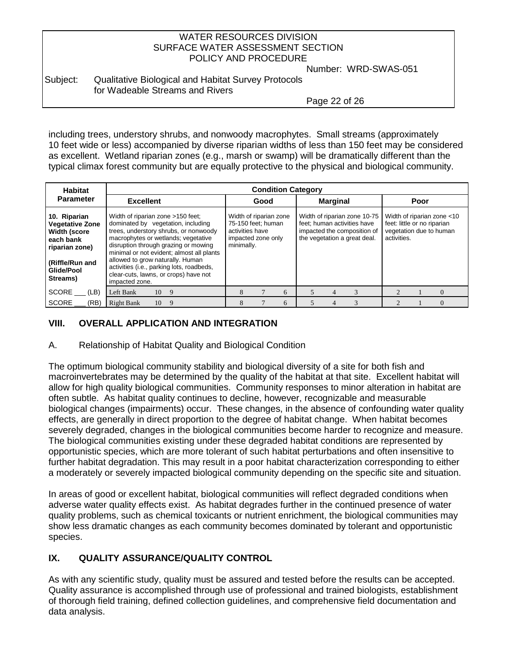Number: WRD-SWAS-051

## Subject: Qualitative Biological and Habitat Survey Protocols for Wadeable Streams and Rivers

Page 22 of 26

including trees, understory shrubs, and nonwoody macrophytes. Small streams (approximately 10 feet wide or less) accompanied by diverse riparian widths of less than 150 feet may be considered as excellent. Wetland riparian zones (e.g., marsh or swamp) will be dramatically different than the typical climax forest community but are equally protective to the physical and biological community.

| <b>Habitat</b>                                                                                                                                         | <b>Condition Category</b>                                                                                                                                                                                                                                                                                                                                                                |                                                                                                     |                                                                                                                            |                                                                                                     |  |  |  |
|--------------------------------------------------------------------------------------------------------------------------------------------------------|------------------------------------------------------------------------------------------------------------------------------------------------------------------------------------------------------------------------------------------------------------------------------------------------------------------------------------------------------------------------------------------|-----------------------------------------------------------------------------------------------------|----------------------------------------------------------------------------------------------------------------------------|-----------------------------------------------------------------------------------------------------|--|--|--|
| <b>Parameter</b>                                                                                                                                       | <b>Excellent</b>                                                                                                                                                                                                                                                                                                                                                                         | Good                                                                                                | <b>Marginal</b>                                                                                                            | Poor                                                                                                |  |  |  |
| 10. Riparian<br><b>Vegetative Zone</b><br><b>Width (score</b><br>each bank<br>riparian zone)<br><b>Riffle/Run and</b><br><b>Glide/Pool</b><br>Streams) | Width of riparian zone >150 feet;<br>dominated by vegetation, including<br>trees, understory shrubs, or nonwoody<br>macrophytes or wetlands; vegetative<br>disruption through grazing or mowing<br>minimal or not evident; almost all plants<br>allowed to grow naturally. Human<br>activities (i.e., parking lots, roadbeds,<br>clear-cuts, lawns, or crops) have not<br>impacted zone. | Width of riparian zone<br>75-150 feet: human<br>activities have<br>impacted zone only<br>minimally. | Width of riparian zone 10-75<br>feet: human activities have<br>impacted the composition of<br>the vegetation a great deal. | Width of riparian zone <10<br>feet: little or no riparian<br>vegetation due to human<br>activities. |  |  |  |
| <b>SCORE</b><br>(LB)                                                                                                                                   | Left Bank<br>10 9                                                                                                                                                                                                                                                                                                                                                                        | 8<br>6                                                                                              |                                                                                                                            |                                                                                                     |  |  |  |
| <b>SCORE</b><br>(RB)                                                                                                                                   | Right Bank<br>10<br>9                                                                                                                                                                                                                                                                                                                                                                    | 6<br>8                                                                                              |                                                                                                                            | 0                                                                                                   |  |  |  |

## **VIII. OVERALL APPLICATION AND INTEGRATION**

A. Relationship of Habitat Quality and Biological Condition

The optimum biological community stability and biological diversity of a site for both fish and macroinvertebrates may be determined by the quality of the habitat at that site. Excellent habitat will allow for high quality biological communities. Community responses to minor alteration in habitat are often subtle. As habitat quality continues to decline, however, recognizable and measurable biological changes (impairments) occur. These changes, in the absence of confounding water quality effects, are generally in direct proportion to the degree of habitat change. When habitat becomes severely degraded, changes in the biological communities become harder to recognize and measure. The biological communities existing under these degraded habitat conditions are represented by opportunistic species, which are more tolerant of such habitat perturbations and often insensitive to further habitat degradation. This may result in a poor habitat characterization corresponding to either a moderately or severely impacted biological community depending on the specific site and situation.

In areas of good or excellent habitat, biological communities will reflect degraded conditions when adverse water quality effects exist. As habitat degrades further in the continued presence of water quality problems, such as chemical toxicants or nutrient enrichment, the biological communities may show less dramatic changes as each community becomes dominated by tolerant and opportunistic species.

## **IX. QUALITY ASSURANCE/QUALITY CONTROL**

As with any scientific study, quality must be assured and tested before the results can be accepted. Quality assurance is accomplished through use of professional and trained biologists, establishment of thorough field training, defined collection guidelines, and comprehensive field documentation and data analysis.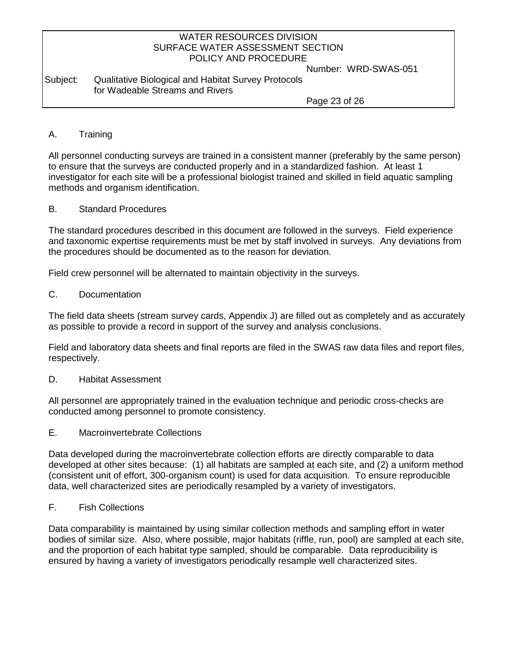Number: WRD-SWAS-051

Subject: Qualitative Biological and Habitat Survey Protocols for Wadeable Streams and Rivers

Page 23 of 26

### A. Training

All personnel conducting surveys are trained in a consistent manner (preferably by the same person) to ensure that the surveys are conducted properly and in a standardized fashion. At least 1 investigator for each site will be a professional biologist trained and skilled in field aquatic sampling methods and organism identification.

#### B. Standard Procedures

The standard procedures described in this document are followed in the surveys. Field experience and taxonomic expertise requirements must be met by staff involved in surveys. Any deviations from the procedures should be documented as to the reason for deviation.

Field crew personnel will be alternated to maintain objectivity in the surveys.

### C. Documentation

The field data sheets (stream survey cards, Appendix J) are filled out as completely and as accurately as possible to provide a record in support of the survey and analysis conclusions.

Field and laboratory data sheets and final reports are filed in the SWAS raw data files and report files, respectively.

#### D. Habitat Assessment

All personnel are appropriately trained in the evaluation technique and periodic cross-checks are conducted among personnel to promote consistency.

E. Macroinvertebrate Collections

Data developed during the macroinvertebrate collection efforts are directly comparable to data developed at other sites because: (1) all habitats are sampled at each site, and (2) a uniform method (consistent unit of effort, 300-organism count) is used for data acquisition. To ensure reproducible data, well characterized sites are periodically resampled by a variety of investigators.

### F. Fish Collections

Data comparability is maintained by using similar collection methods and sampling effort in water bodies of similar size. Also, where possible, major habitats (riffle, run, pool) are sampled at each site, and the proportion of each habitat type sampled, should be comparable. Data reproducibility is ensured by having a variety of investigators periodically resample well characterized sites.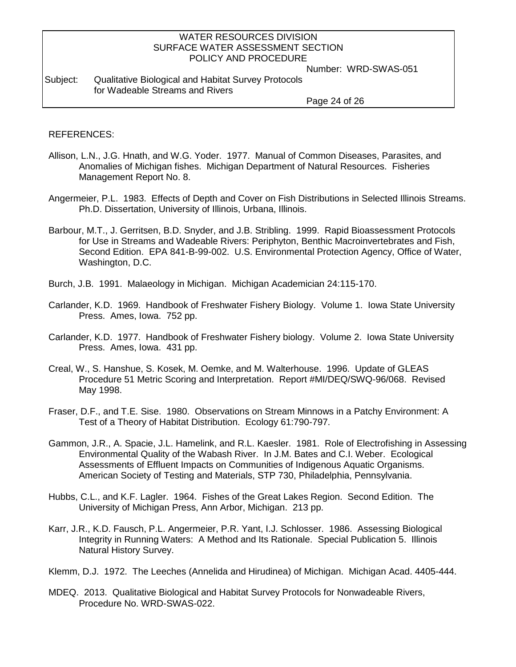Number: WRD-SWAS-051

#### Subject: Qualitative Biological and Habitat Survey Protocols for Wadeable Streams and Rivers

Page 24 of 26

#### REFERENCES:

- Allison, L.N., J.G. Hnath, and W.G. Yoder. 1977. Manual of Common Diseases, Parasites, and Anomalies of Michigan fishes. Michigan Department of Natural Resources. Fisheries Management Report No. 8.
- Angermeier, P.L. 1983. Effects of Depth and Cover on Fish Distributions in Selected Illinois Streams. Ph.D. Dissertation, University of Illinois, Urbana, Illinois.
- Barbour, M.T., J. Gerritsen, B.D. Snyder, and J.B. Stribling. 1999. Rapid Bioassessment Protocols for Use in Streams and Wadeable Rivers: Periphyton, Benthic Macroinvertebrates and Fish, Second Edition. EPA 841-B-99-002. U.S. Environmental Protection Agency, Office of Water, Washington, D.C.
- Burch, J.B. 1991. Malaeology in Michigan. Michigan Academician 24:115-170.
- Carlander, K.D. 1969. Handbook of Freshwater Fishery Biology. Volume 1. Iowa State University Press. Ames, Iowa. 752 pp.
- Carlander, K.D. 1977. Handbook of Freshwater Fishery biology. Volume 2. Iowa State University Press. Ames, Iowa. 431 pp.
- Creal, W., S. Hanshue, S. Kosek, M. Oemke, and M. Walterhouse. 1996. Update of GLEAS Procedure 51 Metric Scoring and Interpretation. Report #MI/DEQ/SWQ-96/068. Revised May 1998.
- Fraser, D.F., and T.E. Sise. 1980. Observations on Stream Minnows in a Patchy Environment: A Test of a Theory of Habitat Distribution. Ecology 61:790-797.
- Gammon, J.R., A. Spacie, J.L. Hamelink, and R.L. Kaesler. 1981. Role of Electrofishing in Assessing Environmental Quality of the Wabash River. In J.M. Bates and C.I. Weber. Ecological Assessments of Effluent Impacts on Communities of Indigenous Aquatic Organisms. American Society of Testing and Materials, STP 730, Philadelphia, Pennsylvania.
- Hubbs, C.L., and K.F. Lagler. 1964. Fishes of the Great Lakes Region. Second Edition. The University of Michigan Press, Ann Arbor, Michigan. 213 pp.
- Karr, J.R., K.D. Fausch, P.L. Angermeier, P.R. Yant, I.J. Schlosser. 1986. Assessing Biological Integrity in Running Waters: A Method and Its Rationale. Special Publication 5. Illinois Natural History Survey.

Klemm, D.J. 1972. The Leeches (Annelida and Hirudinea) of Michigan. Michigan Acad. 4405-444.

MDEQ. 2013. Qualitative Biological and Habitat Survey Protocols for Nonwadeable Rivers, Procedure No. WRD-SWAS-022.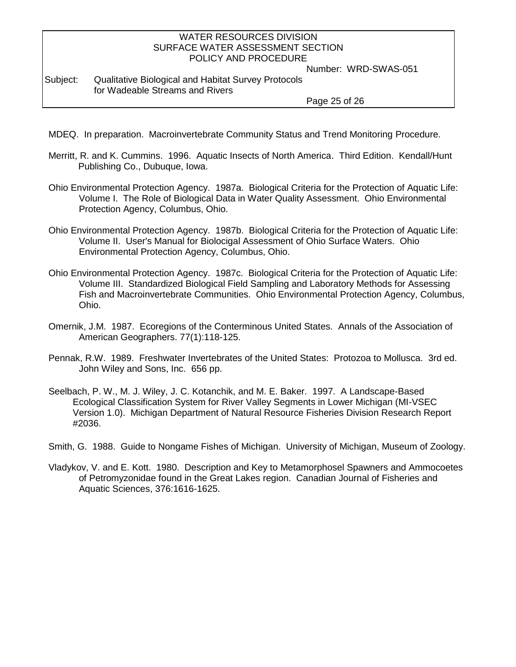Number: WRD-SWAS-051

#### Subject: Qualitative Biological and Habitat Survey Protocols for Wadeable Streams and Rivers

Page 25 of 26

- MDEQ. In preparation. Macroinvertebrate Community Status and Trend Monitoring Procedure.
- Merritt, R. and K. Cummins. 1996. Aquatic Insects of North America. Third Edition. Kendall/Hunt Publishing Co., Dubuque, Iowa.
- Ohio Environmental Protection Agency. 1987a. Biological Criteria for the Protection of Aquatic Life: Volume I. The Role of Biological Data in Water Quality Assessment. Ohio Environmental Protection Agency, Columbus, Ohio.
- Ohio Environmental Protection Agency. 1987b. Biological Criteria for the Protection of Aquatic Life: Volume II. User's Manual for Biolocigal Assessment of Ohio Surface Waters. Ohio Environmental Protection Agency, Columbus, Ohio.
- Ohio Environmental Protection Agency. 1987c. Biological Criteria for the Protection of Aquatic Life: Volume III. Standardized Biological Field Sampling and Laboratory Methods for Assessing Fish and Macroinvertebrate Communities. Ohio Environmental Protection Agency, Columbus, Ohio.
- Omernik, J.M. 1987. Ecoregions of the Conterminous United States. Annals of the Association of American Geographers. 77(1):118-125.
- Pennak, R.W. 1989. Freshwater Invertebrates of the United States: Protozoa to Mollusca. 3rd ed. John Wiley and Sons, Inc. 656 pp.
- Seelbach, P. W., M. J. Wiley, J. C. Kotanchik, and M. E. Baker. 1997. A Landscape-Based Ecological Classification System for River Valley Segments in Lower Michigan (MI-VSEC Version 1.0). Michigan Department of Natural Resource Fisheries Division Research Report #2036.

Smith, G. 1988. Guide to Nongame Fishes of Michigan. University of Michigan, Museum of Zoology.

Vladykov, V. and E. Kott. 1980. Description and Key to Metamorphosel Spawners and Ammocoetes of Petromyzonidae found in the Great Lakes region. Canadian Journal of Fisheries and Aquatic Sciences, 376:1616-1625.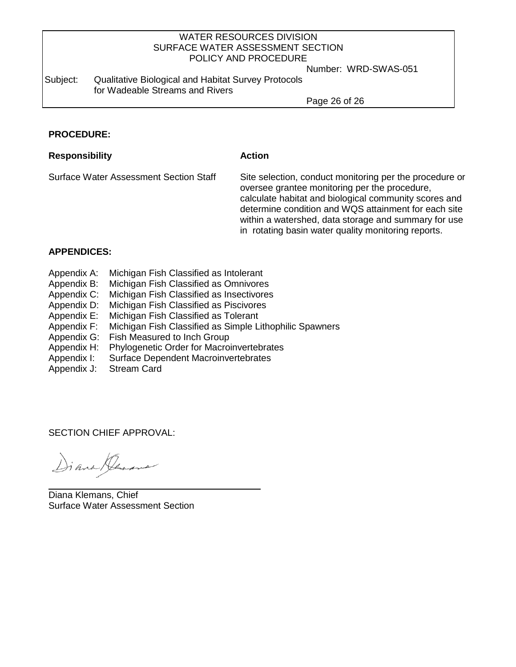Number: WRD-SWAS-051

Subject: Qualitative Biological and Habitat Survey Protocols for Wadeable Streams and Rivers

Page 26 of 26

### **PROCEDURE:**

#### **Responsibility Action**

Surface Water Assessment Section Staff Site selection, conduct monitoring per the procedure or oversee grantee monitoring per the procedure, calculate habitat and biological community scores and determine condition and WQS attainment for each site within a watershed, data storage and summary for use in rotating basin water quality monitoring reports.

#### **APPENDICES:**

- Appendix A: Michigan Fish Classified as Intolerant<br>Appendix B: Michigan Fish Classified as Omnivores
- Michigan Fish Classified as Omnivores
- Appendix C: Michigan Fish Classified as Insectivores
- Appendix D: Michigan Fish Classified as Piscivores
- Appendix E: Michigan Fish Classified as Tolerant
- Appendix F: Michigan Fish Classified as Simple Lithophilic Spawners
- Appendix G: Fish Measured to Inch Group
- Appendix H: Phylogenetic Order for Macroinvertebrates
- Appendix I: Surface Dependent Macroinvertebrates
- Appendix J: Stream Card

SECTION CHIEF APPROVAL:

Diana Gerana

Diana Klemans, Chief Surface Water Assessment Section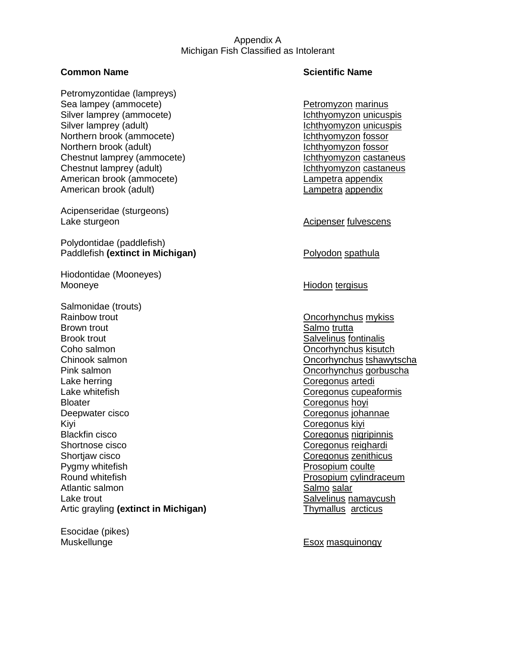#### Appendix A Michigan Fish Classified as Intolerant

Petromyzontidae (lampreys) Sea lampey (ammocete) example and the Petromyzon marinus Silver lamprey (ammocete) **Ichthyomyzon unicuspis** Silver lamprey (adult) Ichthyomyzon unicuspis Northern brook (ammocete) **Ichthyomyzon** fossor Northern brook (adult) **Ichthyomyzon** fossor Chestnut lamprey (ammocete) Ichthyomyzon castaneus Chestnut lamprey (adult) Ichthyomyzon castaneus American brook (ammocete) Lampetra appendix American brook (adult) and a control control appendix control control control control control control control control control control control control control control control control control control control control control

Acipenseridae (sturgeons) Lake sturgeon and according the sturgeon and acipenser fulvescens

Polydontidae (paddlefish) Paddlefish **(extinct in Michigan)** Polyodon spathula

Hiodontidae (Mooneyes) Mooneye **Mooneye** Hiodon tergisus

Salmonidae (trouts) Rainbow trout **Construction Concording Concording Concording Concor**hynchus mykiss Brown trout **Salmo** trutta Brook trout Salvelinus fontinalis Salvelinus fontinalis Coho salmon Oncorhynchus kisutch Chinook salmon Oncorhynchus tshawytscha Pink salmon **Oncorhynchus gorbuscha** Lake herring **Coregonus** arteditions artedition and the coregonus artedition and coregonus arteditions artedition and the coregonus artedition and coregonus arteditions are continuous and continuous arteditions are continu Lake whitefish Coregonus cupeaformis Bloater **Coregonus hoyi** Deepwater cisco Coregonus johannae Kiyi Coregonus kiyi Blackfin cisco **Coregonus** nigripinnis Shortnose cisco **Coregonus reighardi** Coregonus reighardi Shortjaw cisco **Coregonus zenithicus** Coregonus zenithicus Pygmy whitefish **Prosopium coulte** Round whitefish **Prosopium cylindraceum** Atlantic salmon **Salmo salar** Salmo salar Lake trout New Salvelinus namaycush Artic grayling (extinct in Michigan) Thymallus arcticus

Esocidae (pikes)

### **Common Name Scientific Name**

Muskellunge **Esox** masquinongy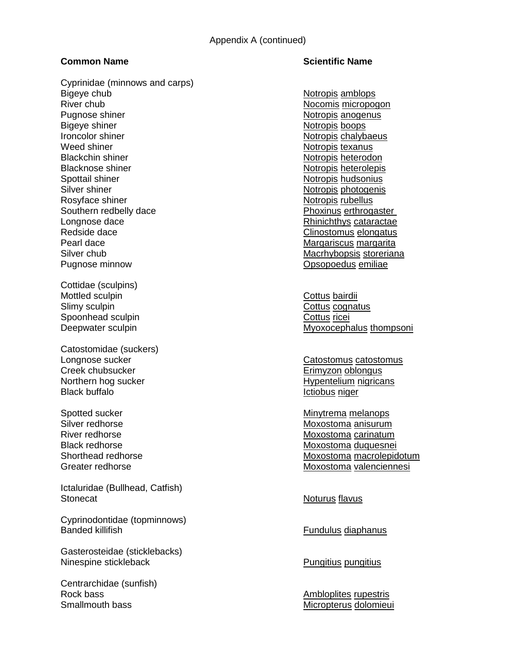## Cyprinidae (minnows and carps) Bigeye chub Notropis amblops and the Notropis amblops of the Notropis amblops of the Notropis amblops of the No River chub Nocomis micropogon Pugnose shiner Notropis anogenus Notropis anogenus Bigeye shiner Notropis boops Ironcolor shiner Notropis chalybaeus Notropis chalybaeus Weed shiner Notropis texanus Blackchin shiner Notropis heterodon Notropis heterodon

Blacknose shiner Notropis heterolepis heterolepis Spottail shiner Notropis hudsonius and the Notropis hudsonius Notropis hudsonius Silver shiner Notropis photogenis Rosyface shiner Notropis rubellus and the Notropis rubellus Rosyface shiner Southern redbelly dace **Phoxinus** erthrogaster Longnose dace **Rhinichthys** cataractae **Rhinichthys** cataractae Redside dace **Clinostomus** elongatus Pearl dace **Margariscus margarita** Margariscus margarita Silver chub Macrhybopsis storeriana Pugnose minnow Opsopoedus emiliae

Cottidae (sculpins) Mottled sculpin **Cottus** bairdii Slimy sculpin Cottus cognatus Spoonhead sculpin Cottus ricei

Catostomidae (suckers) Creek chubsucker Erimyzon oblongus Black buffalo **Ictiobus niger** Ictiobus niger

Ictaluridae (Bullhead, Catfish) Stonecat **Noturus** flavus

Cyprinodontidae (topminnows) Banded killifish Fundulus diaphanus

Gasterosteidae (sticklebacks) Ninespine stickleback **Pungitius pungitius pungitius** Pungitius pungitius pungitius pungitius pungitius pungitius

Centrarchidae (sunfish) Rock bass **Ambloplites** rupestris Smallmouth bass Micropterus dolomieui

## **Common Name Scientific Name**

Deepwater sculpin Myoxocephalus thompsoni

Longnose sucker Catostomus catostomus Northern hog sucker **Hypentelium nigricans** 

Spotted sucker Minytrema melanops Silver redhorse Moxostoma anisurum River redhorse **Moxostoma** carinatum Black redhorse Moxostoma duquesnei Shorthead redhorse Moxostoma macrolepidotum Greater redhorse Moxostoma valenciennesi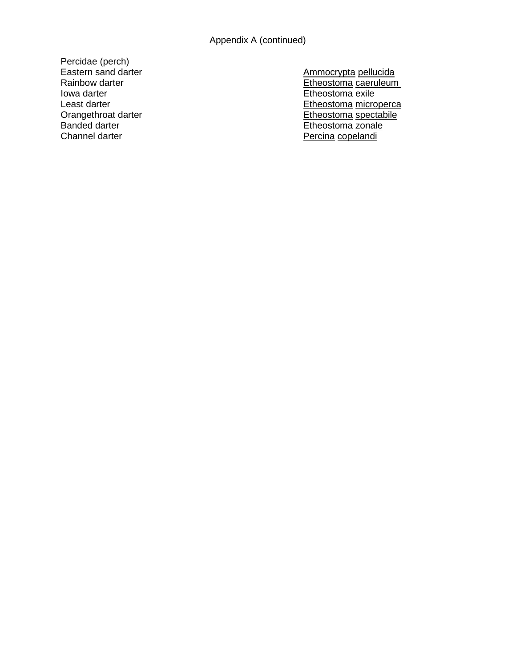Percidae (perch)

Eastern sand darter Ammocrypta pellucida Etheostoma caeruleum<br>
Iowa darter Etheostoma caeruleum<br>
Etheostoma exile<br>
Etheostoma exile Etheostoma exile Least darter **Etheostoma** microperca Orangethroat darter Etheostoma spectabile<br>
Banded darter Etheostoma zonale Etheostoma zonale Channel darter **Percina** copelandi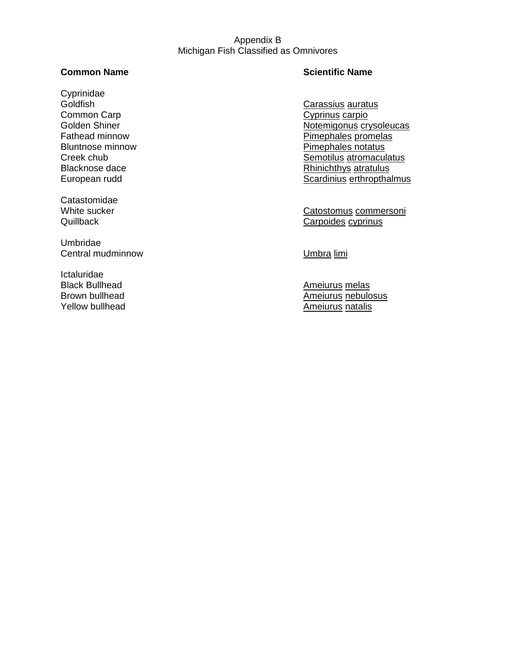#### Appendix B Michigan Fish Classified as Omnivores

Cyprinidae Goldfish Carassius auratus Common Carp Cyprinus carpio

**Catastomidae** 

Umbridae Central mudminnow Central mudminnow Umbra limi

Ictaluridae

## **Common Name Common Name Scientific Name**

Golden Shiner **Notemigonus** crysoleucas Fathead minnow example and the example of the Pimephales promelas Bluntnose minnow **Pimephales notatus** Creek chub Creek chub Semotilus atromaculatus<br>Blacknose dace Semotilus atromaculatus<br>Rhinichthys atratulus Rhinichthys atratulus European rudd Scardinius erthropthalmus

White sucker Catostomus commersoni Quillback Carpoides cyprinus

Black Bullhead **American** American American American Melas Brown bullhead **American Control Control** Brown bullhead and the American American American Control Control Control Control American American Control Control Control Control Control Control Control Control Control Control Ameiurus natalis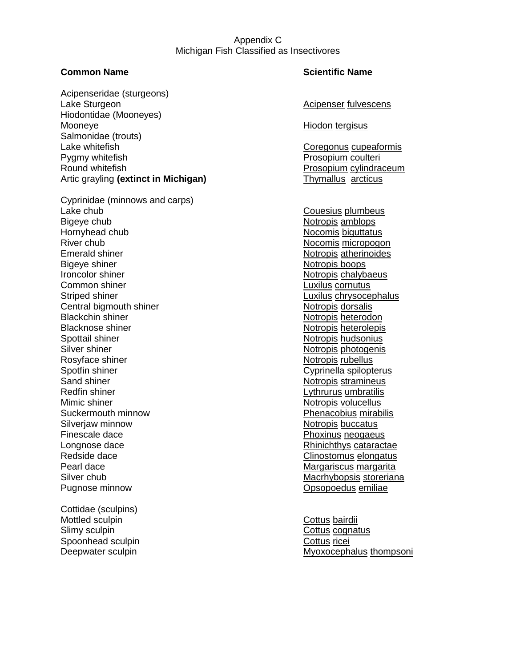#### Appendix C Michigan Fish Classified as Insectivores

Acipenseridae (sturgeons) Lake Sturgeon **Acipenser fulvescens** Acipenser fulvescens Hiodontidae (Mooneyes) Mooneye **Hiodon** tergisus Salmonidae (trouts) Lake whitefish Coregonus cupeaformis Pygmy whitefish **Prosopium coultering** Prosopium coultering Prosopium coultering Prosopium coultering Prosopium coultering **Prosopium** coultering **Prosopium** coultering **Prosopium** coultering **Prosopium** coultering **Prosop** Round whitefish Prosopium cylindraceum Artic grayling **(extinct in Michigan)** Thymallus arcticus

Cyprinidae (minnows and carps) Lake chub **Couesius plumbeus** Bigeye chub Notropis amblops and the Notropis amblops in the Notropis amblops of the Notropis amblops in the Notropis amblops of the Notropis amblops in the Notropis amblops of the Notropis amblops of the Notropis amblops Hornyhead chub Nocomis biguttatus River chub Nocomis micropogon Emerald shiner Notropis atherinoides Bigeye shiner Notropis boops Ironcolor shiner Notropis chalybaeus Notropis chalybaeus Common shiner **Luxilus** cornutus Striped shiner **Luxilus** chrysocephalus Central bigmouth shiner Notropis dorsalis Blackchin shiner Notropis heterodon Notropis heterodon Blacknose shiner Notropis heterolepis heterolepis Spottail shiner Notropis hudsonius and the Notropis hudsonius Notropis hudsonius Silver shiner Notropis photogenis Rosyface shiner Notropis rubellus and the Notropis rubellus not a new Notropis rubellus Spotfin shiner Cyprinella spilopterus Cyprinella spilopterus Sand shiner Notropis stramineus Redfin shiner **Lythrurus** umbratilis Mimic shiner Notropis volucellus Notropis volucellus Suckermouth minnow Phenacobius mirabilis Silverjaw minnow **Notifiant Community** Silverjaw minnow Finescale dace **Phoxinus** neogaeus Longnose dace **Rhinichthys** cataractae **Rhinichthys** cataractae Redside dace **Clinostomus** elongatus **Clinostomus elongatus** Pearl dace **Margariscus margarita** Margariscus margarita Silver chub **Macritises** Silver chub Macrhybopsis storeriana Pugnose minnow Opsopoedus emiliae

Cottidae (sculpins) Mottled sculpin and the control of the Cottus bairdii Slimy sculpin Cottus cognatus Spoonhead sculpin Cottus ricei

#### **Common Name Scientific Name**

Deepwater sculpin **Deepwater Sculpin** Myoxocephalus thompsoni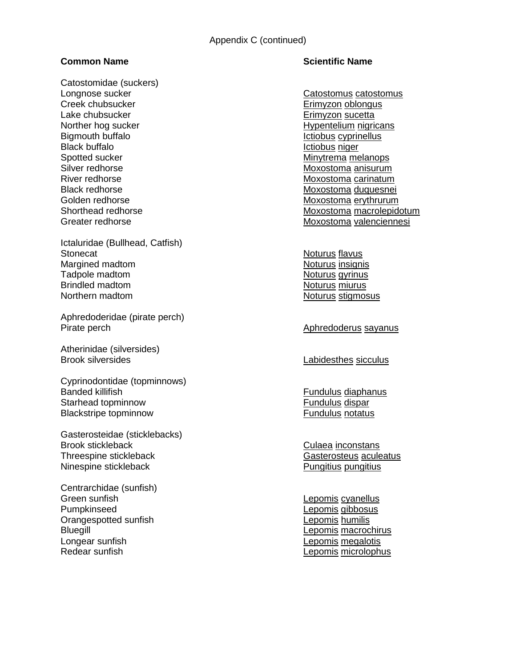Catostomidae (suckers) Longnose sucker Catostomus catostomus Creek chubsucker Erimyzon oblongus Lake chubsucker extensive the extended of the Erimyzon sucetta Norther hog sucker **Hypentelium** nigricans Bigmouth buffalo **Ictiobus** cyprinellus Black buffalo **Ictiobus** niger Spotted sucker Minytrema melanops Silver redhorse Moxostoma anisurum River redhorse **Moxostoma carinatum** 

Ictaluridae (Bullhead, Catfish) Stonecat **Noturus** flavus Margined madtom Noturus insignis Tadpole madtom Noturus gyrinus Brindled madtom Noturus miurus miurus miurus miurus miurus neurati neurati neurati neurati neurati neurati neu Northern madtom Noturus stigmosus

Aphredoderidae (pirate perch) Pirate perch **Aphredoderus sayanus** Aphredoderus sayanus

Atherinidae (silversides) Brook silversides **Labidesthes** sicculus

Cyprinodontidae (topminnows) Banded killifish **Fundulus** diaphanus Starhead topminnow example of the starting of the Fundulus disparties of the Fundulus disparties of the Starting Starting and Turking and Turking and Turking and Turking and Turking and Turking and Turking and Turking and Blackstripe topminnow example and the set of the Fundulus notatus  $\mathsf{F}$ undulus notatus notatus notatus notatus notatus notatus notatus notatus notatus notatus notatus notatus notatus notatus notatus notatus notatus nota

Gasterosteidae (sticklebacks) Brook stickleback Culaea inconstans Threespine stickleback Gasterosteus aculeatus Casterosteus aculeatus Ninespine stickleback **Pungitius** Pungitius pungitius pungitius pungitius pungitius pungitius pungitius pungitius pungitius pungitius pungitius pungitius pungitius pungitius pungitius pungitius pungitius pungitius pungitiu

Centrarchidae (sunfish) Green sunfish **Lepomis cyanellus** Pumpkinseed Lepomis gibbosus Orangespotted sunfish Lepomis humilis Bluegill **Exercise Exercise Exercise Exercise Exercise Exercise Exercise Exercise Exercise Exercise Exercise Exercise Exercise Exercise Exercise Exercise Exercise Exercise Exercise Exercise Exercise Exercise Exercise Exerc** Longear sunfish **Lepomis megalotis** Redear sunfish **Lepomis microlophus** Lepomis microlophus

#### **Common Name Scientific Name**

Black redhorse Moxostoma duquesnei Golden redhorse Moxostoma erythrurum Shorthead redhorse **Moxostoma macrolepidotum** Greater redhorse Moxostoma valenciennesi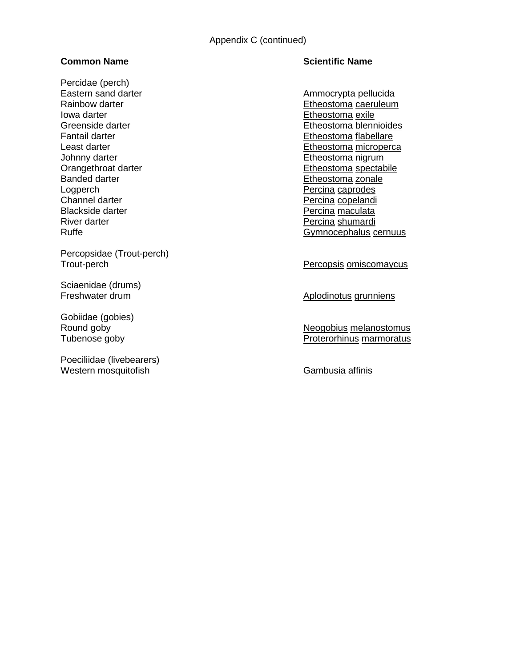Percidae (perch) Eastern sand darter Ammocrypta pellucida Iowa darter **I** and the Etheostoma exile Johnny darter and the state of the Etheostoma nigrum<br>
Orangethroat darter and the Etheostoma spectal Banded darter **Etheostoma** zonale Logperch **Percina caprodes** Channel darter **Percina copelandi Percina copelandi** Blackside darter **Percina maculata** River darter **Percina shumardi Percina shumardi** 

Percopsidae (Trout-perch)

Sciaenidae (drums)

Gobiidae (gobies)

Poeciliidae (livebearers) Western mosquitofish Gambusia affinis

### **Common Name Common Name Scientific Name**

Rainbow darter **Etheostoma** caeruleum Greenside darter **Etheostoma** blennioides Fantail darter **Etheostoma flabellare** Etheostoma flabellare Least darter **Etheostoma microperca** Etheostoma spectabile Ruffe **Gymnocephalus cernuus** 

Percopsis omiscomaycus

Freshwater drum **Aplodinotus grunniens** 

Round goby Neogobius melanostomus Tubenose goby **Protection** Proterorhinus marmoratus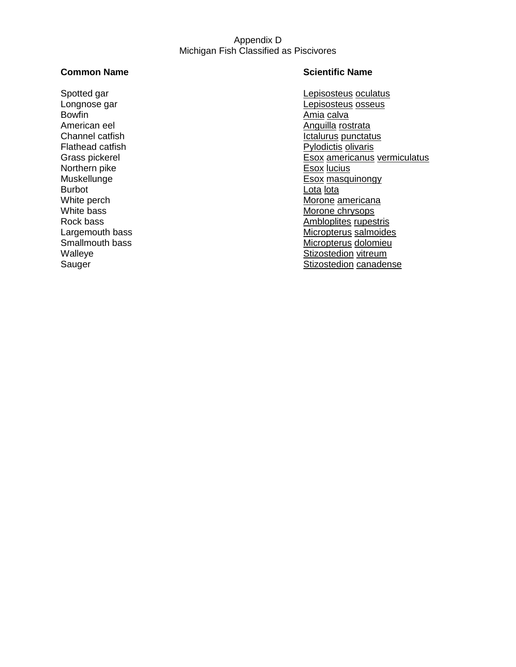#### Appendix D Michigan Fish Classified as Piscivores

Bowfin **Bowfin** American eel **American eel** American eel American eel American eel American eel American eel American eel American ee Flathead catfish **Pylodictis** olivaris Northern pike Burbot **Lota** lota White bass Morone chrysops Morone chrysops Rock bass and Morone chrysops Rock bass and Morone chrysops and Morone chrysops Rock bass and Morone chrysops and Morone chrysops and Morone chrysops and Morone chrysops and Moron

### **Common Name Common Name Scientific Name**

Spotted gar **Legisosteus** oculatus Longnose gar **Legisosteus** osseus Channel catfish **Ictalurus** punctatus Grass pickerel Esox americanus vermiculatus<br>
Northern pike<br>
Northern pike Muskellunge **Esox** masquinongy White perch **Morone** americana Ambloplites rupestris Largemouth bass **Micropterus** salmoides Smallmouth bass Micropterus dolomieu Walleye Walleye Stizostedion vitreum<br>
Stizostedion vitreum<br>
Stizostedion canader Stizostedion canadense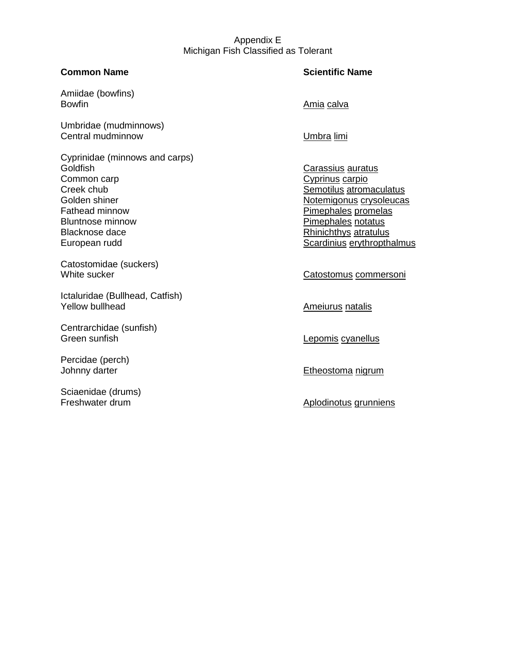### Appendix E Michigan Fish Classified as Tolerant

### **Common Name Scientific Name**

Amiidae (bowfins) Bowfin **Bowfin Bowfin Bowfin Bowfin Bowfin Bowfin Amia calva** 

Umbridae (mudminnows) Central mudminnow Central mudminnow Umbra limi

Cyprinidae (minnows and carps) Common carp Cyprinus carpio Creek chub Semotilus atromaculatus Golden shiner Notemigonus crysoleucas Fathead minnow example and the example of the Pimephales promelas Bluntnose minnow **Pimephales notatus** Blacknose dace **Rhinichthys** atratulus European rudd Scardinius erythropthalmus

Catostomidae (suckers)

Ictaluridae (Bullhead, Catfish) Yellow bullhead **American** American American American American American American American American American American American American American American American American American American American American American Americ

Centrarchidae (sunfish) Green sunfish **Lepomis cyanellus** 

Percidae (perch)

Sciaenidae (drums)

Carassius auratus

White sucker Catostomus commersoni

Johnny darter **Etheostoma** nigrum

Freshwater drum Aplodinotus grunniens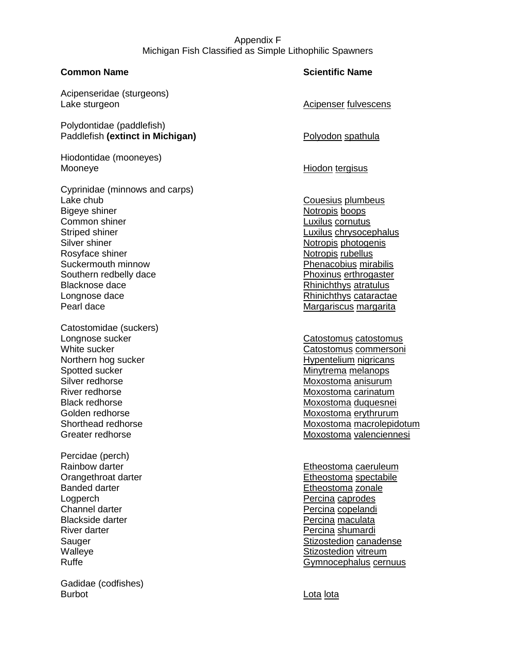## Appendix F Michigan Fish Classified as Simple Lithophilic Spawners

Acipenseridae (sturgeons) Lake sturgeon and according the Acipenser fulvescens and Acipenser fulvescens

Polydontidae (paddlefish) Paddlefish (extinct in Michigan) and Polyodon spathula

Hiodontidae (mooneyes) Mooneye **Hiodon** tergisus

Cyprinidae (minnows and carps) Lake chub Couesius plumbeus couesius plumbeus Bigeye shiner Notropis boops Common shiner **Luxilus** cornutus Striped shiner **Luxilus** chrysocephalus Silver shiner Notropis photogenis Rosyface shiner Notropis rubellus and the Notropis rubellus Rosyface shiner Suckermouth minnow Phenacobius mirabilis Southern redbelly dace **Phoxinus erthrogaster** Blacknose dace **Rhinichthys atratulus Blacknose** dace Longnose dace **Rhinichthys** cataractae Pearl dace **Margariscus margarita** Margariscus margarita

Catostomidae (suckers) Longnose sucker Catostomus catostomus Northern hog sucker **Hypentelium nigricans** Spotted sucker Minytrema melanops Silver redhorse Moxostoma anisurum River redhorse Moxostoma carinatum

Percidae (perch) Logperch **Percina caprodes** Channel darter **Percina copelandi Percina copelandi Percina copelandi** Blackside darter **Percina maculata** River darter **Percina shumardi** Percina shumardi

Gadidae (codfishes) Burbot **Lota** lota

#### **Common Name Scientific Name**

White sucker Catostomus commersoni Black redhorse Moxostoma duquesnei Golden redhorse Moxostoma erythrurum Shorthead redhorse Moxostoma macrolepidotum Greater redhorse **Moxostoma** valenciennesi

Rainbow darter **Etheostoma** caeruleum Orangethroat darter experience of the Etheostoma spectabile Banded darter **Etheostoma** zonale Sauger Sauger Stizostedion canadense Walleye **Stizostedion** vitreum Ruffe **Gymnocephalus cernuus** Common Common Common Common Common Common Common Common Common Common Common Common Common Common Common Common Common Common Common Common Common Common Common Common Common Common Common Com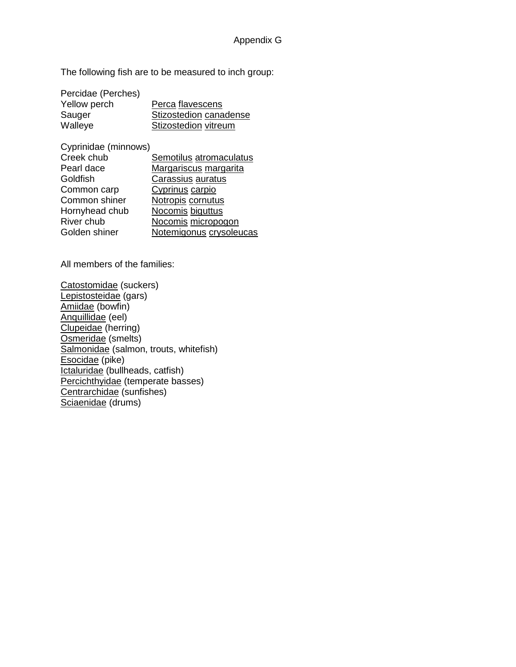The following fish are to be measured to inch group:

| Perca flavescens       |
|------------------------|
| Stizostedion canadense |
| Stizostedion vitreum   |
|                        |

Cyprinidae (minnows)

| Creek chub     | Semotilus atromaculatus |
|----------------|-------------------------|
| Pearl dace     | Margariscus margarita   |
| Goldfish       | Carassius auratus       |
| Common carp    | Cyprinus carpio         |
| Common shiner  | Notropis cornutus       |
| Hornyhead chub | Nocomis biguttus        |
| River chub     | Nocomis micropogon      |
| Golden shiner  | Notemigonus crysoleucas |
|                |                         |

All members of the families:

Catostomidae (suckers) Lepistosteidae (gars) Amiidae (bowfin) Anquillidae (eel) Clupeidae (herring) Osmeridae (smelts) Salmonidae (salmon, trouts, whitefish) Esocidae (pike) Ictaluridae (bullheads, catfish) Percichthyidae (temperate basses) Centrarchidae (sunfishes) Sciaenidae (drums)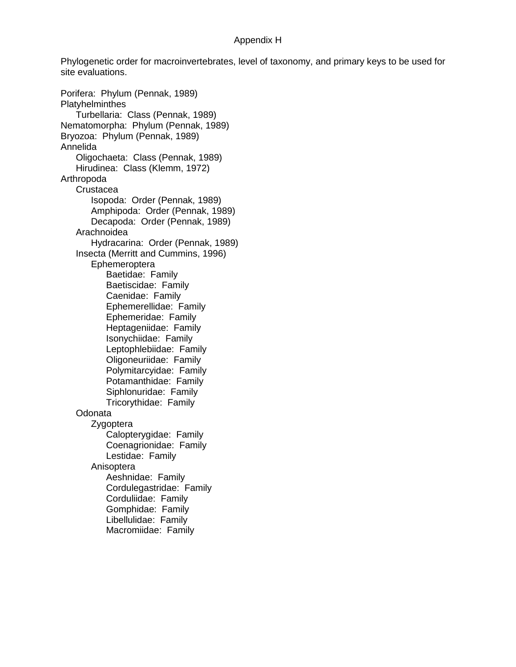#### Appendix H

Phylogenetic order for macroinvertebrates, level of taxonomy, and primary keys to be used for site evaluations.

Porifera: Phylum (Pennak, 1989) **Platyhelminthes** Turbellaria: Class (Pennak, 1989) Nematomorpha: Phylum (Pennak, 1989) Bryozoa: Phylum (Pennak, 1989) Annelida Oligochaeta: Class (Pennak, 1989) Hirudinea: Class (Klemm, 1972) Arthropoda **Crustacea** Isopoda: Order (Pennak, 1989) Amphipoda: Order (Pennak, 1989) Decapoda: Order (Pennak, 1989) Arachnoidea Hydracarina: Order (Pennak, 1989) Insecta (Merritt and Cummins, 1996) Ephemeroptera Baetidae: Family Baetiscidae: Family Caenidae: Family Ephemerellidae: Family Ephemeridae: Family Heptageniidae: Family Isonychiidae: Family Leptophlebiidae: Family Oligoneuriidae: Family Polymitarcyidae: Family Potamanthidae: Family Siphlonuridae: Family Tricorythidae: Family Odonata Zygoptera Calopterygidae: Family Coenagrionidae: Family Lestidae: Family Anisoptera Aeshnidae: Family Cordulegastridae: Family Corduliidae: Family Gomphidae: Family Libellulidae: Family Macromiidae: Family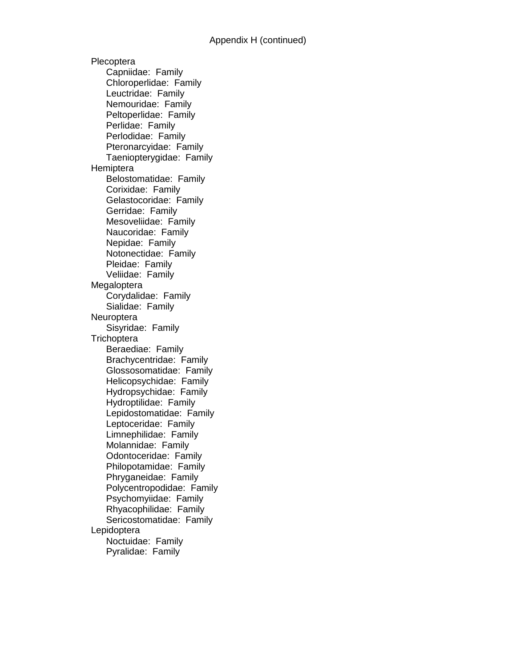Plecoptera Capniidae: Family Chloroperlidae: Family Leuctridae: Family Nemouridae: Family Peltoperlidae: Family Perlidae: Family Perlodidae: Family Pteronarcyidae: Family Taeniopterygidae: Family **Hemiptera** Belostomatidae: Family Corixidae: Family Gelastocoridae: Family Gerridae: Family Mesoveliidae: Family Naucoridae: Family Nepidae: Family Notonectidae: Family Pleidae: Family Veliidae: Family Megaloptera Corydalidae: Family Sialidae: Family **Neuroptera** Sisyridae: Family **Trichoptera** Beraediae: Family Brachycentridae: Family Glossosomatidae: Family Helicopsychidae: Family Hydropsychidae: Family Hydroptilidae: Family Lepidostomatidae: Family Leptoceridae: Family Limnephilidae: Family Molannidae: Family Odontoceridae: Family Philopotamidae: Family Phryganeidae: Family Polycentropodidae: Family Psychomyiidae: Family Rhyacophilidae: Family Sericostomatidae: Family Lepidoptera Noctuidae: Family Pyralidae: Family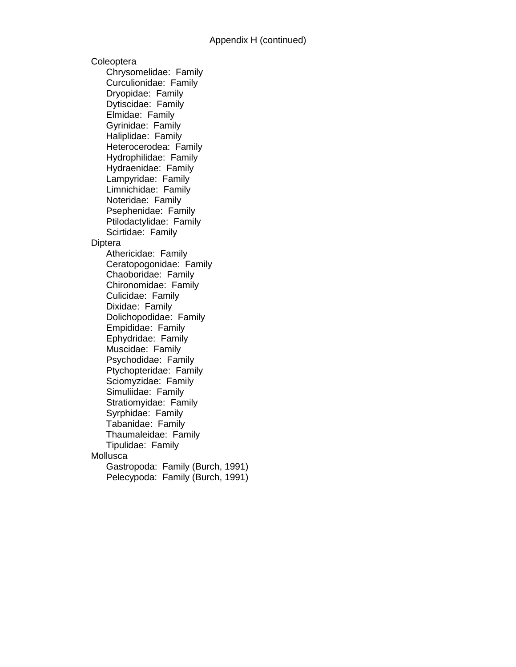**Coleoptera** Chrysomelidae: Family Curculionidae: Family Dryopidae: Family Dytiscidae: Family Elmidae: Family Gyrinidae: Family Haliplidae: Family Heterocerodea: Family Hydrophilidae: Family Hydraenidae: Family Lampyridae: Family Limnichidae: Family Noteridae: Family Psephenidae: Family Ptilodactylidae: Family Scirtidae: Family **Diptera** Athericidae: Family Ceratopogonidae: Family Chaoboridae: Family Chironomidae: Family Culicidae: Family Dixidae: Family Dolichopodidae: Family Empididae: Family Ephydridae: Family Muscidae: Family Psychodidae: Family Ptychopteridae: Family Sciomyzidae: Family Simuliidae: Family Stratiomyidae: Family Syrphidae: Family Tabanidae: Family Thaumaleidae: Family Tipulidae: Family **Mollusca** Gastropoda: Family (Burch, 1991) Pelecypoda: Family (Burch, 1991)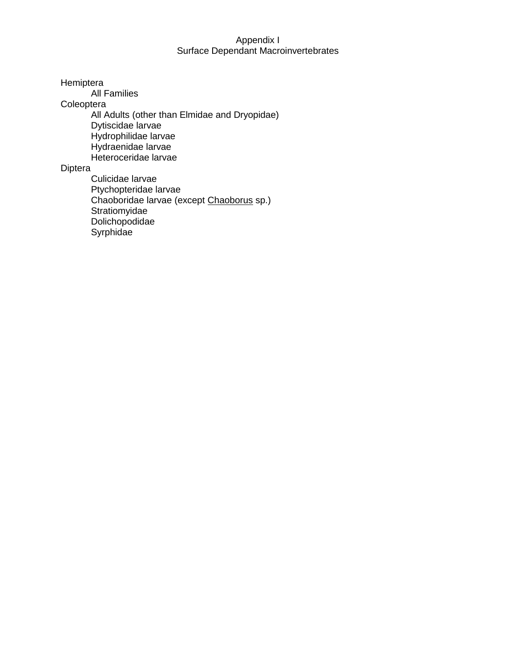### Appendix I Surface Dependant Macroinvertebrates

Hemiptera

All Families

**Coleoptera** 

All Adults (other than Elmidae and Dryopidae) Dytiscidae larvae Hydrophilidae larvae Hydraenidae larvae Heteroceridae larvae

#### Diptera

Culicidae larvae Ptychopteridae larvae Chaoboridae larvae (except Chaoborus sp.) Stratiomyidae Dolichopodidae Syrphidae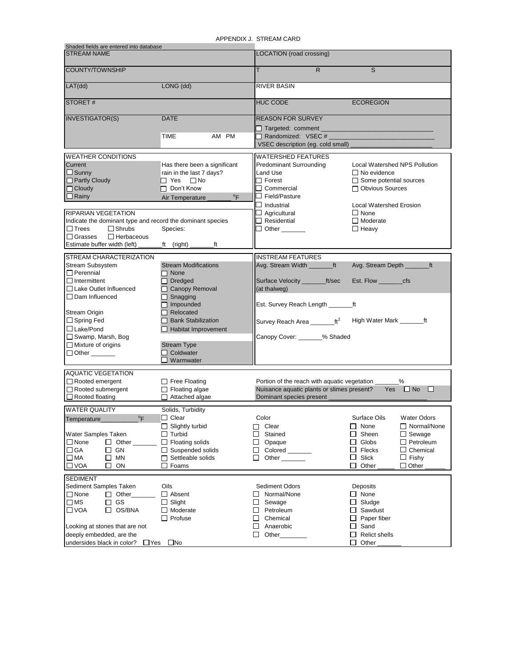APPENDIX J. STREAM CARD

| Shaded fields are entered into database                    |                                              | AFFENDIA J. JIREAM UARD                               |                                      |
|------------------------------------------------------------|----------------------------------------------|-------------------------------------------------------|--------------------------------------|
| <b>STREAM NAME</b>                                         |                                              | LOCATION (road crossing)                              |                                      |
|                                                            |                                              |                                                       |                                      |
| <b>COUNTY/TOWNSHIP</b>                                     |                                              | T.<br>$\mathsf{R}$                                    | S                                    |
| LAT(dd)                                                    | LONG (dd)                                    | <b>RIVER BASIN</b>                                    |                                      |
| <b>STORET#</b>                                             |                                              | <b>HUC CODE</b>                                       | <b>ECOREGION</b>                     |
| <b>INVESTIGATOR(S)</b>                                     | <b>DATE</b>                                  | <b>REASON FOR SURVEY</b>                              |                                      |
|                                                            | TIME<br>AM PM                                | $\Box$ Targeted: comment<br>$\Box$ Randomized: VSEC # |                                      |
|                                                            |                                              | VSEC description (eq. cold small)                     |                                      |
|                                                            |                                              | <b>WATERSHED FEATURES</b>                             |                                      |
| <b>WEATHER CONDITIONS</b><br>Current                       | Has there been a significant                 | <b>Predominant Surrounding</b>                        | <b>Local Watershed NPS Pollution</b> |
| $\Box$ Sunny                                               | rain in the last 7 days?                     | Land Use                                              | $\Box$ No evidence                   |
| $\Box$ Partly Cloudy                                       | $\Box$ Yes<br>$\square$ No                   | $\square$ Forest                                      | $\Box$ Some potential sources        |
| $\Box$ Cloudy                                              | $\Box$ Don't Know                            | $\Box$ Commercial                                     | □ Obvious Sources                    |
| $\Box$ Rainy                                               | $\mathrm{P}_{\mathsf{F}}$<br>Air Temperature | $\Box$ Field/Pasture                                  |                                      |
|                                                            |                                              |                                                       | <b>Local Watershed Erosion</b>       |
| <b>RIPARIAN VEGETATION</b>                                 |                                              | $\Box$ Agricultural                                   | $\Box$ None                          |
| Indicate the dominant type and record the dominant species |                                              | $\Box$ Residential                                    | $\Box$ Moderate                      |
| $\Box$ Shrubs<br>$\Box$ Trees                              | Species:                                     | $\Box$ Other $\_\_$                                   | $\Box$ Heavy                         |
| $\Box$ Herbaceous<br>$\Box$ Grasses                        |                                              |                                                       |                                      |
| Estimate buffer width (left)                               | _ft (right) _<br>ft                          |                                                       |                                      |
|                                                            |                                              |                                                       |                                      |
| STREAM CHARACTERIZATION                                    |                                              | <b>INSTREAM FEATURES</b>                              |                                      |
| <b>Stream Subsystem</b>                                    | <b>Stream Modifications</b>                  | Avg. Stream Width ________ft                          | Avg. Stream Depth ________ft         |
| $\Box$ Perennial                                           | $\Box$ None                                  |                                                       |                                      |
| $\Box$ Intermittent                                        | $\Box$ Dredged                               | Surface Velocity _________ft/sec                      | Est. Flow _________cfs               |
| □ Lake Outlet Influenced                                   | □ Canopy Removal                             | (at thalweg)                                          |                                      |
| $\Box$ Dam Influenced                                      | $\Box$ Snagging<br>$\Box$ Impounded          | Est. Survey Reach Length ________ft                   |                                      |
| Stream Origin                                              | Relocated                                    |                                                       |                                      |
| □ Spring Fed                                               | □ Bank Stabilization                         | Survey Reach Area __________ ft <sup>2</sup>          | High Water Mark __________ft         |
| $\Box$ Lake/Pond                                           | Habitat Improvement                          |                                                       |                                      |
| Swamp, Marsh, Bog                                          |                                              | Canopy Cover: _______% Shaded                         |                                      |
| $\Box$ Mixture of origins                                  | <b>Stream Type</b>                           |                                                       |                                      |
| $\Box$ Other $\_\_\_\_\_\_\_\_\_\_\_\$                     | $\Box$ Coldwater                             |                                                       |                                      |
|                                                            | $\Box$ Warmwater                             |                                                       |                                      |
|                                                            |                                              |                                                       |                                      |
| <b>AQUATIC VEGETATION</b>                                  |                                              |                                                       |                                      |
| Rooted emergent                                            | $\Box$ Free Floating                         | Portion of the reach with aquatic vegetation __       | %                                    |
| Rooted submergent                                          | $\Box$ Floating algae                        | Nuisance aquatic plants or slimes present?            | Yes $\Box$ No<br>$\Box$              |
| $\Box$ Rooted floating                                     | $\Box$ Attached algae                        | Dominant species present                              |                                      |
| <b>WATER QUALITY</b>                                       | Solids, Turbidity                            |                                                       |                                      |
| Temperature                                                | $\Box$ Clear                                 | Color                                                 | Surface Oils<br><b>Water Odors</b>   |
|                                                            | $\Box$ Slightly turbid                       | Clear<br>$\Box$                                       | $\Box$ Normal/None<br>□<br>None      |
| Water Samples Taken                                        | $\Box$ Turbid                                | Stained<br>ப                                          | Sheen<br>$\Box$ Sewage<br>⊔          |
| $\Box$ None<br>$\Box$ Other                                | <b>Floating solids</b><br>$\Box$             | □<br>Opaque                                           | Globs<br>$\Box$ Petroleum<br>$\Box$  |
| $\Box$ GA<br>$\square$ GN                                  | $\Box$ Suspended solids                      | $\Box$<br>Colored                                     | Flecks<br>$\Box$ Chemical<br>ப       |
| $\square$ MA<br>MN<br>□                                    | Settleable solids<br>П                       | □<br>Other                                            | Slick<br>⊔<br>$\Box$ Fishy           |
| $\Box$ VOA<br>$\Box$<br>ON                                 | $\Box$ Foams                                 |                                                       | □<br>Other<br>$\Box$ Other           |
| <b>SEDIMENT</b>                                            |                                              |                                                       |                                      |
| Sediment Samples Taken                                     | Oils                                         | Sediment Odors                                        | Deposits                             |
| $\Box$ None<br>$\Box$ Other                                | $\Box$ Absent                                | Normal/None<br>ΙI                                     | $\Box$ None                          |
| $\square$ MS<br>GS<br>П                                    | $\Box$ Slight                                | Sewage<br>ப                                           | Sludge<br>□                          |
| $\square$ VOA<br>OS/BNA<br>ப                               | $\Box$ Moderate                              | Petroleum<br>ப                                        | Sawdust<br>ப                         |
|                                                            | $\Box$ Profuse                               | П<br>Chemical                                         | Paper fiber<br>⊔                     |
| Looking at stones that are not                             |                                              | □<br>Anaerobic                                        | Sand<br>⊔                            |
| deeply embedded, are the                                   |                                              | Other_<br>$\Box$                                      | <b>Relict shells</b><br>□            |
| undersides black in color?<br>$\Box$ Yes                   | $\square$ No                                 |                                                       | Other<br>□                           |
|                                                            |                                              |                                                       |                                      |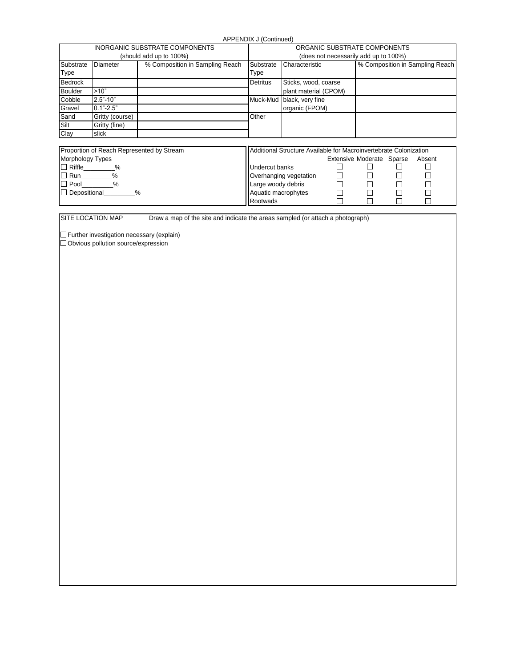APPENDIX J (Continued)

| <b>INORGANIC SUBSTRATE COMPONENTS</b> |                 |                                 | ORGANIC SUBSTRATE COMPONENTS          |                           |                                 |  |  |
|---------------------------------------|-----------------|---------------------------------|---------------------------------------|---------------------------|---------------------------------|--|--|
| (should add up to 100%)               |                 |                                 | (does not necessarily add up to 100%) |                           |                                 |  |  |
| Substrate                             | <b>Diameter</b> | % Composition in Sampling Reach | Substrate                             | Characteristic            | % Composition in Sampling Reach |  |  |
| <b>Type</b>                           |                 |                                 | Type                                  |                           |                                 |  |  |
| Bedrock                               |                 |                                 | <b>Detritus</b>                       | Sticks, wood, coarse      |                                 |  |  |
| <b>Boulder</b>                        | >10"            |                                 |                                       | plant material (CPOM)     |                                 |  |  |
| Cobble                                | $2.5 - 10$      |                                 |                                       | Muck-Mud black, very fine |                                 |  |  |
| Gravel                                | $0.1 - 2.5$ "   |                                 |                                       | organic (FPOM)            |                                 |  |  |
| Sand                                  | Gritty (course) |                                 | Other                                 |                           |                                 |  |  |
| Silt                                  | Gritty (fine)   |                                 |                                       |                           |                                 |  |  |
| Clay                                  | slick           |                                 |                                       |                           |                                 |  |  |
|                                       |                 |                                 |                                       |                           |                                 |  |  |

| Proportion of Reach Represented by Stream | Additional Structure Available for Macroinvertebrate Colonization |                           |  |  |        |
|-------------------------------------------|-------------------------------------------------------------------|---------------------------|--|--|--------|
| <b>Morphology Types</b>                   |                                                                   | Extensive Moderate Sparse |  |  | Absent |
| $\Box$ Riffle                             | Undercut banks                                                    |                           |  |  |        |
| $\Box$ Run                                | Overhanging vegetation                                            |                           |  |  |        |
| $\Box$ Pool<br>%                          | Large woody debris                                                |                           |  |  |        |
| $\Box$ Depositional<br>%                  | Aquatic macrophytes                                               |                           |  |  |        |
|                                           | Rootwads                                                          |                           |  |  |        |

SITE LOCATION MAP Draw a map of the site and indicate the areas sampled (or attach a photograph)

Further investigation necessary (explain)

Obvious pollution source/expression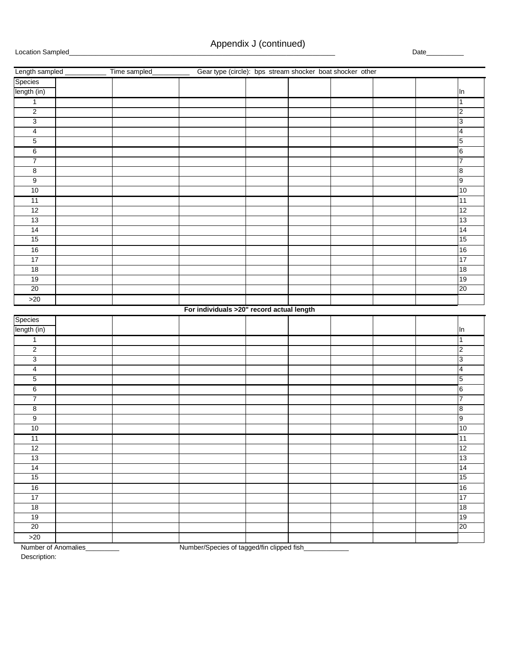| Gear type (circle): bps stream shocker boat shocker other<br>Length sampled<br>Time sampled |                         |
|---------------------------------------------------------------------------------------------|-------------------------|
| Species                                                                                     |                         |
| length (in)                                                                                 | In                      |
| $\overline{1}$                                                                              | $\mathbf{1}$            |
| $\overline{2}$                                                                              | $\overline{\mathbf{c}}$ |
| 3                                                                                           | 3                       |
| $\overline{4}$                                                                              | $\overline{4}$          |
| $\overline{5}$                                                                              | 5                       |
| 6                                                                                           | $\,6$                   |
| 7                                                                                           | $\overline{7}$          |
| $\overline{8}$                                                                              | 8                       |
| $\overline{9}$                                                                              | 9                       |
| 10                                                                                          | 10                      |
| $\overline{11}$                                                                             | 11                      |
| $\overline{12}$                                                                             | 12                      |
| 13                                                                                          | 13                      |
| 14                                                                                          | 14                      |
| 15                                                                                          | 15                      |
| 16                                                                                          | $16\,$                  |
| 17                                                                                          | 17                      |
| 18                                                                                          | 18                      |
| 19                                                                                          | 19                      |
| 20                                                                                          | 20                      |
| $>20$                                                                                       |                         |
| For individuals >20" record actual length                                                   |                         |
| Species                                                                                     |                         |
| length (in)                                                                                 | In                      |
| $\mathbf{1}$                                                                                | $\mathbf{1}$            |
| $\overline{2}$                                                                              | 2                       |
| 3                                                                                           | 3                       |
| $\overline{4}$                                                                              | 4                       |
| 5                                                                                           | 5                       |
| 6                                                                                           | 6                       |
| $\overline{7}$                                                                              | $\overline{7}$          |
| $\overline{\mathbf{8}}$                                                                     | 8                       |
| $\overline{9}$                                                                              | 9                       |
| 10                                                                                          | 10                      |
| 11                                                                                          | 11                      |
| 12                                                                                          | 12                      |
| 13                                                                                          | 13                      |
| 14                                                                                          | 14                      |
| 15                                                                                          | 15                      |
| 16                                                                                          | 16                      |
| 17                                                                                          | 17                      |
| 18                                                                                          | 18                      |
| 19                                                                                          | 19                      |
| 20                                                                                          | 20                      |
| $>20$                                                                                       |                         |

Number of Anomalies\_\_\_\_\_\_\_\_\_ Number/Species of tagged/fin clipped fish\_\_\_\_\_\_\_\_\_\_\_\_

Description: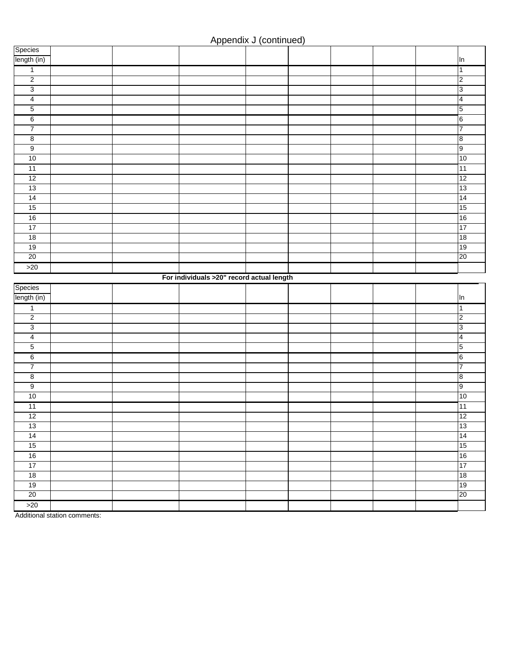| Species                                  |  |                                           |  |  |                         |
|------------------------------------------|--|-------------------------------------------|--|--|-------------------------|
| length (in)                              |  |                                           |  |  | In                      |
| $\overline{1}$                           |  |                                           |  |  | 1                       |
| $\overline{2}$                           |  |                                           |  |  | $\overline{2}$          |
| $\overline{3}$                           |  |                                           |  |  | 3                       |
| $\overline{4}$                           |  |                                           |  |  | $\overline{\mathbf{4}}$ |
| $\overline{5}$                           |  |                                           |  |  | $5\overline{5}$         |
| $6\overline{6}$                          |  |                                           |  |  | 6                       |
| $\boldsymbol{7}$                         |  |                                           |  |  | $\overline{7}$          |
| $\overline{\mathbf{8}}$                  |  |                                           |  |  | 8                       |
| $\overline{9}$                           |  |                                           |  |  | 9                       |
| 10                                       |  |                                           |  |  | 10                      |
| 11                                       |  |                                           |  |  | $\overline{11}$         |
| 12                                       |  |                                           |  |  | 12                      |
| 13                                       |  |                                           |  |  | 13                      |
| 14                                       |  |                                           |  |  | 14                      |
| 15                                       |  |                                           |  |  | 15                      |
| 16                                       |  |                                           |  |  | 16                      |
| 17                                       |  |                                           |  |  | 17                      |
| 18                                       |  |                                           |  |  | 18                      |
| 19                                       |  |                                           |  |  | 19                      |
| $\overline{20}$                          |  |                                           |  |  | 20                      |
| $>20$                                    |  |                                           |  |  |                         |
|                                          |  | For individuals >20" record actual length |  |  |                         |
|                                          |  |                                           |  |  |                         |
|                                          |  |                                           |  |  |                         |
|                                          |  |                                           |  |  | In                      |
| $\mathbf{1}$                             |  |                                           |  |  | $\overline{1}$          |
| Species<br>length (in)<br>$\overline{2}$ |  |                                           |  |  | $\overline{2}$          |
| 3                                        |  |                                           |  |  | 3                       |
| $\overline{4}$                           |  |                                           |  |  | $\overline{\mathbf{4}}$ |
| $\overline{5}$                           |  |                                           |  |  | $\overline{5}$          |
| $\overline{6}$                           |  |                                           |  |  | $6\overline{6}$         |
| $\overline{7}$                           |  |                                           |  |  | 7                       |
| 8                                        |  |                                           |  |  | 8                       |
| 9                                        |  |                                           |  |  | 9                       |
| 10                                       |  |                                           |  |  | 10                      |
| 11                                       |  |                                           |  |  | 11                      |
| 12                                       |  |                                           |  |  | 12                      |
| 13                                       |  |                                           |  |  | 13                      |
| 14                                       |  |                                           |  |  | 14                      |
| 15                                       |  |                                           |  |  | 15                      |
| 16                                       |  |                                           |  |  | 16                      |
| 17                                       |  |                                           |  |  | 17                      |
| 18                                       |  |                                           |  |  | 18                      |
| 19                                       |  |                                           |  |  | 19                      |
| 20                                       |  |                                           |  |  | 20                      |
| $>20$                                    |  |                                           |  |  |                         |

Additional station comments: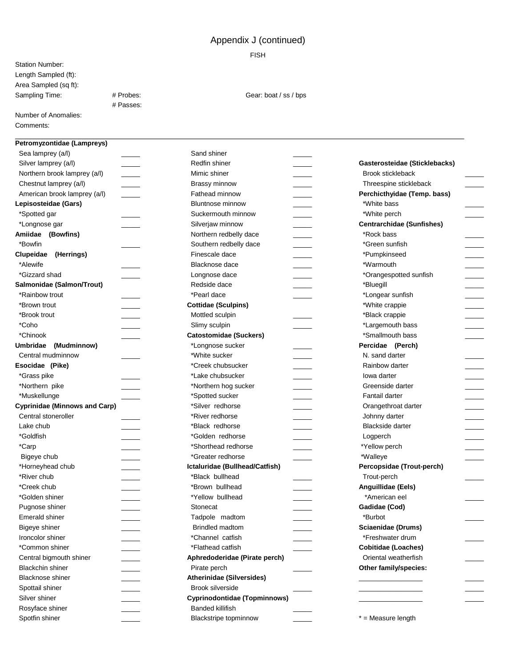FISH

Station Number: Length Sampled (ft): Area Sampled (sq ft):

# Passes:

Sampling Time: # Probes: # Probes: Gear: boat / ss / bps

#### Number of Anomalies: Comments:

#### **Petromyzontidae (Lampreys)**

| Sea lamprey (a/l)                    |  |
|--------------------------------------|--|
| Silver lamprey (a/l)                 |  |
| Northern brook lamprey (a/l)         |  |
| Chestnut lamprey (a/l)               |  |
| American brook lamprey (a/l)         |  |
| Lepisosteidae (Gars)                 |  |
| *Spotted gar                         |  |
| *Longnose gar                        |  |
| Amiidae (Bowfins)                    |  |
| *Bowfin                              |  |
| Clupeidae (Herrings)                 |  |
| *Alewife                             |  |
| *Gizzard shad                        |  |
| Salmonidae (Salmon/Trout)            |  |
| *Rainbow trout                       |  |
| *Brown trout                         |  |
| *Brook trout                         |  |
| *Coho                                |  |
| *Chinook                             |  |
| Umbridae<br>(Mudminnow)              |  |
| Central mudminnow                    |  |
| Esocidae (Pike)                      |  |
| *Grass pike                          |  |
| *Northern pike                       |  |
| *Muskellunge                         |  |
| <b>Cyprinidae (Minnows and Carp)</b> |  |
| Central stoneroller                  |  |
| Lake chub                            |  |
| *Goldfish                            |  |
| *Carp                                |  |
| Bigeye chub                          |  |
| *Horneyhead chub                     |  |
| *River chub                          |  |
| *Creek chub                          |  |
| *Golden shiner                       |  |
| Pugnose shiner                       |  |
| <b>Emerald shiner</b>                |  |
| Bigeye shiner                        |  |
| Ironcolor shiner                     |  |
| *Common shiner                       |  |
| Central bigmouth shiner              |  |
| <b>Blackchin shiner</b>              |  |
| Blacknose shiner                     |  |
| Spottail shiner                      |  |
| Silver shiner                        |  |
| Rosyface shiner                      |  |
| Spotfin shiner                       |  |

| Sand shiner                    |  |
|--------------------------------|--|
| Redfin shiner                  |  |
| Mimic shiner                   |  |
| Brassy minnow                  |  |
| Fathead minnow                 |  |
| <b>Bluntnose minnow</b>        |  |
| Suckermouth minnow             |  |
| Silverjaw minnow               |  |
| Northern redbelly dace         |  |
| Southern redbelly dace         |  |
| Finescale dace                 |  |
| Blacknose dace                 |  |
| Longnose dace                  |  |
| Redside dace                   |  |
| *Pearl dace                    |  |
| <b>Cottidae (Sculpins)</b>     |  |
| Mottled sculpin                |  |
| Slimy sculpin                  |  |
| <b>Catostomidae (Suckers)</b>  |  |
| *Longnose sucker               |  |
| *White sucker                  |  |
| *Creek chubsucker              |  |
| *Lake chubsucker               |  |
| *Northern hog sucker           |  |
| *Spotted sucker                |  |
| *Silver redhorse               |  |
| *River redhorse                |  |
| *Black redhorse                |  |
| *Golden redhorse               |  |
| *Shorthead redhorse            |  |
| *Greater redhorse              |  |
| Ictaluridae (Bullhead/Catfish) |  |
| *Black bullhead                |  |
| *Brown bullhead                |  |
| *Yellow bullhead               |  |
| Stonecat                       |  |
| Tadpole madtom                 |  |
| <b>Brindled madtom</b>         |  |
| *Channel catfish               |  |
| *Flathead catfish              |  |
| Aphredoderidae (Pirate perch)  |  |
| Pirate perch                   |  |
| Atherinidae (Silversides)      |  |
| <b>Brook silverside</b>        |  |
| Cyprinodontidae (Topminnows)   |  |
| Banded killifish               |  |
| Blackstripe topminnow          |  |

| Gasterosteidae (Sticklebacks)    |  |
|----------------------------------|--|
| <b>Brook stickleback</b>         |  |
| Threespine stickleback           |  |
| Perchicthyidae (Temp. bass)      |  |
| *White bass                      |  |
| *White perch                     |  |
| <b>Centrarchidae (Sunfishes)</b> |  |
| *Rock bass                       |  |
| *Green sunfish                   |  |
| *Pumpkinseed                     |  |
| *Warmouth                        |  |
| *Orangespotted sunfish           |  |
| *Bluegill                        |  |
| *Longear sunfish                 |  |
| *White crappie                   |  |
| *Black crappie                   |  |
| *Largemouth bass                 |  |
| *Smallmouth bass                 |  |
| Percidae (Perch)                 |  |
| N. sand darter                   |  |
| Rainbow darter                   |  |
| lowa darter                      |  |
| Greenside darter                 |  |
| Fantail darter                   |  |
| Orangethroat darter              |  |
| Johnny darter                    |  |
| <b>Blackside darter</b>          |  |
| Logperch                         |  |
| *Yellow perch                    |  |
| *Walleye                         |  |
| Percopsidae (Trout-perch)        |  |
| Trout-perch                      |  |
| Anguillidae (Eels)               |  |
| *American eel                    |  |
| Gadidae (Cod)                    |  |
| *Burbot                          |  |
| Sciaenidae (Drums)               |  |
| *Freshwater drum                 |  |
| Cobitidae (Loaches)              |  |
| Oriental weatherfish             |  |
| Other family/species:            |  |
|                                  |  |
|                                  |  |
|                                  |  |

\* = Measure length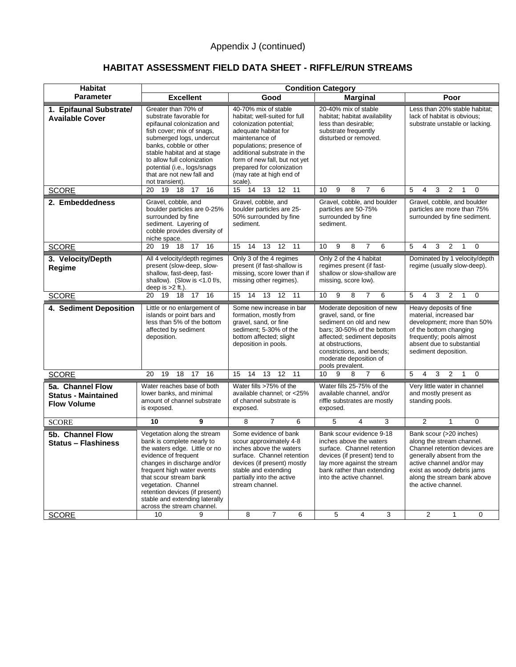## **HABITAT ASSESSMENT FIELD DATA SHEET - RIFFLE/RUN STREAMS**

| <b>Habitat</b>                                                       | <b>Condition Category</b>                                                                                                                                                                                                                                                                                                                     |                                                                                                                                                                                                                                                                                            |                                                                                                                                                                                                                                            |                                                                                                                                                                                                                                                                         |  |  |  |
|----------------------------------------------------------------------|-----------------------------------------------------------------------------------------------------------------------------------------------------------------------------------------------------------------------------------------------------------------------------------------------------------------------------------------------|--------------------------------------------------------------------------------------------------------------------------------------------------------------------------------------------------------------------------------------------------------------------------------------------|--------------------------------------------------------------------------------------------------------------------------------------------------------------------------------------------------------------------------------------------|-------------------------------------------------------------------------------------------------------------------------------------------------------------------------------------------------------------------------------------------------------------------------|--|--|--|
| <b>Parameter</b>                                                     | <b>Excellent</b>                                                                                                                                                                                                                                                                                                                              | Good                                                                                                                                                                                                                                                                                       | <b>Marginal</b>                                                                                                                                                                                                                            | Poor                                                                                                                                                                                                                                                                    |  |  |  |
| 1. Epifaunal Substrate/<br><b>Available Cover</b>                    | Greater than 70% of<br>substrate favorable for<br>epifaunal colonization and<br>fish cover; mix of snags,<br>submerged logs, undercut<br>banks, cobble or other<br>stable habitat and at stage<br>to allow full colonization<br>potential (i.e., logs/snags<br>that are not new fall and<br>not transient).                                   | 40-70% mix of stable<br>habitat; well-suited for full<br>colonization potential;<br>adequate habitat for<br>maintenance of<br>populations; presence of<br>additional substrate in the<br>form of new fall, but not yet<br>prepared for colonization<br>(may rate at high end of<br>scale). | 20-40% mix of stable<br>habitat; habitat availability<br>less than desirable;<br>substrate frequently<br>disturbed or removed.                                                                                                             | Less than 20% stable habitat;<br>lack of habitat is obvious;<br>substrate unstable or lacking.                                                                                                                                                                          |  |  |  |
| <b>SCORE</b>                                                         | $\overline{17}$<br>19<br>18<br>16<br>20                                                                                                                                                                                                                                                                                                       | $\overline{14}$<br>15<br>13<br>12<br>11                                                                                                                                                                                                                                                    | 10<br>9<br>8<br>$\overline{7}$<br>6                                                                                                                                                                                                        | 5<br>3<br>$\overline{2}$<br>0<br>4<br>1                                                                                                                                                                                                                                 |  |  |  |
| 2. Embeddedness                                                      | Gravel, cobble, and<br>boulder particles are 0-25%<br>surrounded by fine<br>sediment. Layering of<br>cobble provides diversity of<br>niche space.                                                                                                                                                                                             | Gravel, cobble, and<br>boulder particles are 25-<br>50% surrounded by fine<br>sediment.                                                                                                                                                                                                    | Gravel, cobble, and boulder<br>particles are 50-75%<br>surrounded by fine<br>sediment.                                                                                                                                                     | Gravel, cobble, and boulder<br>particles are more than 75%<br>surrounded by fine sediment.                                                                                                                                                                              |  |  |  |
| <b>SCORE</b>                                                         | 19<br>20<br>18<br>17<br>16                                                                                                                                                                                                                                                                                                                    | 12<br>15<br>14<br>13<br>11                                                                                                                                                                                                                                                                 | 10<br>9<br>8<br>7<br>6                                                                                                                                                                                                                     | 5<br>4<br>3<br>$\overline{2}$<br>$\Omega$<br>1                                                                                                                                                                                                                          |  |  |  |
| 3. Velocity/Depth<br>Regime                                          | All 4 velocity/depth regimes<br>present (slow-deep, slow-<br>shallow, fast-deep, fast-<br>shallow). (Slow is <1.0 f/s,<br>deep is $>2$ ft.).                                                                                                                                                                                                  | Only 3 of the 4 regimes<br>present (if fast-shallow is<br>missing, score lower than if<br>missing other regimes).                                                                                                                                                                          | Only 2 of the 4 habitat<br>regimes present (if fast-<br>shallow or slow-shallow are<br>missing, score low).                                                                                                                                | Dominated by 1 velocity/depth<br>regime (usually slow-deep).                                                                                                                                                                                                            |  |  |  |
| <b>SCORE</b>                                                         | 17<br>$\overline{16}$<br>19<br>18<br>20                                                                                                                                                                                                                                                                                                       | 15<br>14<br>12<br>11<br>13                                                                                                                                                                                                                                                                 | $\overline{6}$<br>10<br>9<br>8<br>$\overline{7}$                                                                                                                                                                                           | $\overline{2}$<br>5<br>$\overline{4}$<br>3<br>$\Omega$<br>$\mathbf{1}$                                                                                                                                                                                                  |  |  |  |
| 4. Sediment Deposition                                               | Little or no enlargement of<br>islands or point bars and<br>less than 5% of the bottom<br>affected by sediment<br>deposition.                                                                                                                                                                                                                 | Some new increase in bar<br>formation, mostly from<br>gravel, sand, or fine<br>sediment; 5-30% of the<br>bottom affected; slight<br>deposition in pools.                                                                                                                                   | Moderate deposition of new<br>gravel, sand, or fine<br>sediment on old and new<br>bars; 30-50% of the bottom<br>affected; sediment deposits<br>at obstructions.<br>constrictions, and bends;<br>moderate deposition of<br>pools prevalent. | Heavy deposits of fine<br>material, increased bar<br>development; more than 50%<br>of the bottom changing<br>frequently; pools almost<br>absent due to substantial<br>sediment deposition.                                                                              |  |  |  |
| <b>SCORE</b>                                                         | 20<br>19<br>18<br>17<br>16                                                                                                                                                                                                                                                                                                                    | 15<br>14<br>13<br>12<br>11                                                                                                                                                                                                                                                                 | 10<br>9<br>8<br>6<br>7                                                                                                                                                                                                                     | 5<br>4<br>3<br>$\overline{2}$<br>$\Omega$<br>1                                                                                                                                                                                                                          |  |  |  |
| 5a. Channel Flow<br><b>Status - Maintained</b><br><b>Flow Volume</b> | Water reaches base of both<br>lower banks, and minimal<br>amount of channel substrate<br>is exposed.                                                                                                                                                                                                                                          | Water fills >75% of the<br>available channel; or <25%<br>of channel substrate is<br>exposed.                                                                                                                                                                                               | Water fills 25-75% of the<br>available channel, and/or<br>riffle substrates are mostly<br>exposed.                                                                                                                                         | Very little water in channel<br>and mostly present as<br>standing pools.                                                                                                                                                                                                |  |  |  |
| <b>SCORE</b>                                                         | 10<br>9                                                                                                                                                                                                                                                                                                                                       | 8<br>$\overline{7}$<br>6                                                                                                                                                                                                                                                                   | 5<br>$\overline{4}$<br>3                                                                                                                                                                                                                   | 2<br>$\Omega$<br>1                                                                                                                                                                                                                                                      |  |  |  |
| 5b. Channel Flow<br><b>Status - Flashiness</b><br><b>SCORE</b>       | Vegetation along the stream<br>bank is complete nearly to<br>the waters edge. Little or no<br>evidence of frequent<br>changes in discharge and/or<br>frequent high water events<br>that scour stream bank<br>vegetation. Channel<br>retention devices (if present)<br>stable and extending laterally<br>across the stream channel.<br>10<br>9 | Some evidence of bank<br>scour approximately 4-8<br>inches above the waters<br>surface. Channel retention<br>devices (if present) mostly<br>stable and extending<br>partially into the active<br>stream channel.<br>8<br>$\overline{7}$<br>6                                               | Bank scour evidence 9-18<br>inches above the waters<br>surface. Channel retention<br>devices (if present) tend to<br>lay more against the stream<br>bank rather than extending<br>into the active channel.<br>5<br>4<br>3                  | Bank scour (>20 inches)<br>along the stream channel.<br>Channel retention devices are<br>generally absent from the<br>active channel and/or may<br>exist as woody debris jams<br>along the stream bank above<br>the active channel.<br>2<br>$\mathbf{1}$<br>$\mathbf 0$ |  |  |  |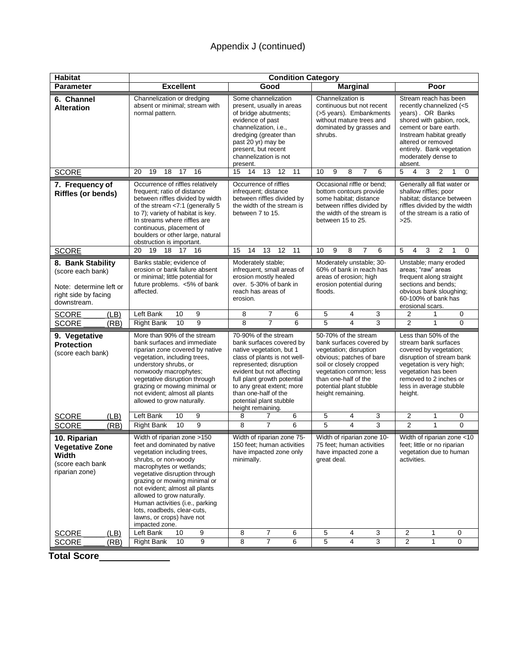| <b>Habitat</b>                                                                                           | <b>Condition Category</b>                                                                                                                                                                                                                                                                                                                                                                        |                                                                                                                                                                                                                                                                                                          |                                                                                                                                                                                                                                      |                                                                                                                                                                                                                                              |  |  |  |  |
|----------------------------------------------------------------------------------------------------------|--------------------------------------------------------------------------------------------------------------------------------------------------------------------------------------------------------------------------------------------------------------------------------------------------------------------------------------------------------------------------------------------------|----------------------------------------------------------------------------------------------------------------------------------------------------------------------------------------------------------------------------------------------------------------------------------------------------------|--------------------------------------------------------------------------------------------------------------------------------------------------------------------------------------------------------------------------------------|----------------------------------------------------------------------------------------------------------------------------------------------------------------------------------------------------------------------------------------------|--|--|--|--|
| <b>Parameter</b>                                                                                         | <b>Excellent</b>                                                                                                                                                                                                                                                                                                                                                                                 | Good                                                                                                                                                                                                                                                                                                     | <b>Marginal</b>                                                                                                                                                                                                                      | Poor                                                                                                                                                                                                                                         |  |  |  |  |
| 6. Channel<br><b>Alteration</b>                                                                          | Channelization or dredging<br>absent or minimal; stream with<br>normal pattern.                                                                                                                                                                                                                                                                                                                  | Some channelization<br>present, usually in areas<br>of bridge abutments;<br>evidence of past<br>channelization, i.e.,<br>dredging (greater than<br>past 20 yr) may be<br>present, but recent<br>channelization is not<br>present.                                                                        | Channelization is<br>continuous but not recent<br>(>5 years). Embankments<br>without mature trees and<br>dominated by grasses and<br>shrubs.                                                                                         | Stream reach has been<br>recently channelized (<5<br>years). OR Banks<br>shored with gabion, rock,<br>cement or bare earth.<br>Instream habitat greatly<br>altered or removed<br>entirely. Bank vegetation<br>moderately dense to<br>absent. |  |  |  |  |
| <b>SCORE</b>                                                                                             | 16<br>19<br>18<br>17<br>20                                                                                                                                                                                                                                                                                                                                                                       | 15<br>14<br>13<br>12<br>11                                                                                                                                                                                                                                                                               | 9<br>6<br>10<br>8<br>7                                                                                                                                                                                                               | 5<br>4<br>3<br>2<br>0<br>1                                                                                                                                                                                                                   |  |  |  |  |
| 7. Frequency of<br><b>Riffles (or bends)</b>                                                             | Occurrence of riffles relatively<br>frequent; ratio of distance<br>between riffles divided by width<br>of the stream <7:1 (generally 5<br>to 7); variety of habitat is key.<br>In streams where riffles are<br>continuous, placement of<br>boulders or other large, natural<br>obstruction is important.                                                                                         | Occurrence of riffles<br>infrequent; distance<br>between riffles divided by<br>the width of the stream is<br>between 7 to 15.                                                                                                                                                                            | Occasional riffle or bend;<br>bottom contours provide<br>some habitat; distance<br>between riffles divided by<br>the width of the stream is<br>between 15 to 25.                                                                     | Generally all flat water or<br>shallow riffles; poor<br>habitat; distance between<br>riffles divided by the width<br>of the stream is a ratio of<br>>25.                                                                                     |  |  |  |  |
| <b>SCORE</b>                                                                                             | 18<br>20<br>19<br>17<br>16                                                                                                                                                                                                                                                                                                                                                                       | 15<br>14<br>13<br>12<br>11                                                                                                                                                                                                                                                                               | 10<br>9<br>8<br>6<br>$\overline{7}$                                                                                                                                                                                                  | 3<br>$\overline{2}$<br>$\mathbf{1}$<br>$\mathbf 0$<br>5<br>4                                                                                                                                                                                 |  |  |  |  |
| 8. Bank Stability<br>(score each bank)<br>Note: determine left or<br>right side by facing<br>downstream. | Banks stable; evidence of<br>erosion or bank failure absent<br>or minimal; little potential for<br>future problems. <5% of bank<br>affected.                                                                                                                                                                                                                                                     | Moderately stable;<br>infrequent, small areas of<br>erosion mostly healed<br>over. 5-30% of bank in<br>reach has areas of<br>erosion.                                                                                                                                                                    | Moderately unstable; 30-<br>60% of bank in reach has<br>areas of erosion; high<br>erosion potential during<br>floods.                                                                                                                | Unstable; many eroded<br>areas; "raw" areas<br>frequent along straight<br>sections and bends;<br>obvious bank sloughing;<br>60-100% of bank has<br>erosional scars.                                                                          |  |  |  |  |
| <b>SCORE</b><br>(LB)                                                                                     | Left Bank<br>10<br>9                                                                                                                                                                                                                                                                                                                                                                             | 7<br>6<br>8                                                                                                                                                                                                                                                                                              | 5<br>3<br>4                                                                                                                                                                                                                          | 2<br>0<br>1                                                                                                                                                                                                                                  |  |  |  |  |
| <b>SCORE</b><br>(RB)                                                                                     | 9<br>10<br><b>Right Bank</b>                                                                                                                                                                                                                                                                                                                                                                     | 8<br>$\overline{7}$<br>6                                                                                                                                                                                                                                                                                 | 5<br>3<br>$\overline{4}$                                                                                                                                                                                                             | $\overline{2}$<br>$\mathbf{1}$<br>$\Omega$                                                                                                                                                                                                   |  |  |  |  |
| 9. Vegetative<br><b>Protection</b><br>(score each bank)                                                  | More than 90% of the stream<br>bank surfaces and immediate<br>riparian zone covered by native<br>vegetation, including trees,<br>understory shrubs, or<br>nonwoody macrophytes;<br>vegetative disruption through<br>grazing or mowing minimal or<br>not evident; almost all plants<br>allowed to grow naturally.                                                                                 | 70-90% of the stream<br>bank surfaces covered by<br>native vegetation, but 1<br>class of plants is not well-<br>represented; disruption<br>evident but not affecting<br>full plant growth potential<br>to any great extent; more<br>than one-half of the<br>potential plant stubble<br>height remaining. | 50-70% of the stream<br>bank surfaces covered by<br>vegetation; disruption<br>obvious; patches of bare<br>soil or closely cropped<br>vegetation common; less<br>than one-half of the<br>potential plant stubble<br>height remaining. | Less than 50% of the<br>stream bank surfaces<br>covered by vegetation;<br>disruption of stream bank<br>vegetation is very high;<br>vegetation has been<br>removed to 2 inches or<br>less in average stubble<br>height.                       |  |  |  |  |
| <b>SCORE</b><br>(LB)                                                                                     | Left Bank<br>10<br>9                                                                                                                                                                                                                                                                                                                                                                             | 8<br>6<br>7                                                                                                                                                                                                                                                                                              | 5<br>4<br>3                                                                                                                                                                                                                          | $\overline{2}$<br>1<br>0                                                                                                                                                                                                                     |  |  |  |  |
| <b>SCORE</b><br>(RB)                                                                                     | 9<br>10<br><b>Right Bank</b>                                                                                                                                                                                                                                                                                                                                                                     | 8<br>6<br>7                                                                                                                                                                                                                                                                                              | 5<br>3<br>4<br>Width of riparian zone 10-                                                                                                                                                                                            | $\overline{2}$<br>$\Omega$<br>1<br>Width of riparian zone <10                                                                                                                                                                                |  |  |  |  |
| 10. Riparian<br><b>Vegetative Zone</b><br><b>Width</b><br>(score each bank<br>riparian zone)             | Width of riparian zone >150<br>feet and dominated by native<br>vegetation including trees,<br>shrubs, or non-woody<br>macrophytes or wetlands;<br>vegetative disruption through<br>grazing or mowing minimal or<br>not evident; almost all plants<br>allowed to grow naturally.<br>Human activities (i.e., parking<br>lots, roadbeds, clear-cuts,<br>lawns, or crops) have not<br>impacted zone. | Width of riparian zone 75-<br>150 feet: human activities<br>have impacted zone only<br>minimally.                                                                                                                                                                                                        | feet; little or no riparian<br>vegetation due to human<br>activities.                                                                                                                                                                |                                                                                                                                                                                                                                              |  |  |  |  |
| SCORE<br>(LB)                                                                                            | Left Bank<br>10<br>9                                                                                                                                                                                                                                                                                                                                                                             | 7<br>8<br>6                                                                                                                                                                                                                                                                                              | 5<br>4<br>3                                                                                                                                                                                                                          | 2<br>0<br>1                                                                                                                                                                                                                                  |  |  |  |  |
| (RB)<br><b>SCORE</b>                                                                                     | 9<br><b>Right Bank</b><br>10                                                                                                                                                                                                                                                                                                                                                                     | 7<br>8<br>6                                                                                                                                                                                                                                                                                              | 5<br>3<br>4                                                                                                                                                                                                                          | $\overline{2}$<br>0<br>1                                                                                                                                                                                                                     |  |  |  |  |

**Total Score**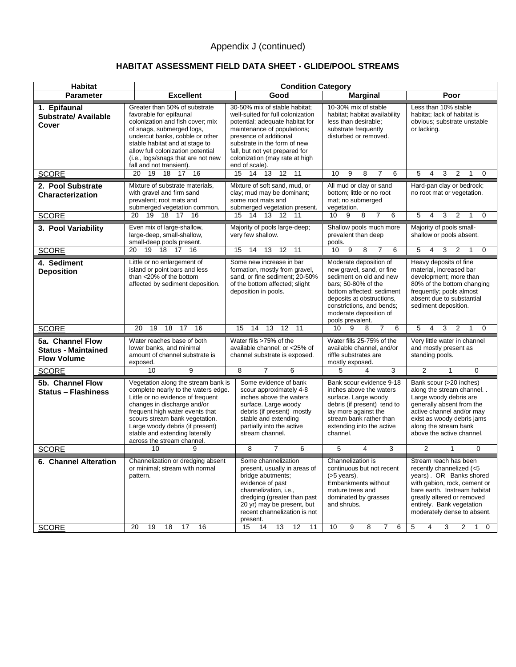## **HABITAT ASSESSMENT FIELD DATA SHEET - GLIDE/POOL STREAMS**

| Habitat                                                              | <b>Condition Category</b>                                                                                                                                                                                                                                                                                              |                                                                                                                                                                                                                                                                                      |                                                                                                                                                                                                                                            |                                                                                                                                                                                                                                                                                             |  |  |  |  |
|----------------------------------------------------------------------|------------------------------------------------------------------------------------------------------------------------------------------------------------------------------------------------------------------------------------------------------------------------------------------------------------------------|--------------------------------------------------------------------------------------------------------------------------------------------------------------------------------------------------------------------------------------------------------------------------------------|--------------------------------------------------------------------------------------------------------------------------------------------------------------------------------------------------------------------------------------------|---------------------------------------------------------------------------------------------------------------------------------------------------------------------------------------------------------------------------------------------------------------------------------------------|--|--|--|--|
| <b>Parameter</b>                                                     | <b>Excellent</b>                                                                                                                                                                                                                                                                                                       | Good                                                                                                                                                                                                                                                                                 | <b>Marginal</b>                                                                                                                                                                                                                            | Poor                                                                                                                                                                                                                                                                                        |  |  |  |  |
| 1. Epifaunal<br><b>Substrate/ Available</b><br>Cover                 | Greater than 50% of substrate<br>favorable for epifaunal<br>colonization and fish cover; mix<br>of snags, submerged logs,<br>undercut banks, cobble or other<br>stable habitat and at stage to<br>allow full colonization potential<br>(i.e., logs/snags that are not new<br>fall and not transient).                  | 30-50% mix of stable habitat:<br>well-suited for full colonization<br>potential; adequate habitat for<br>maintenance of populations;<br>presence of additional<br>substrate in the form of new<br>fall, but not yet prepared for<br>colonization (may rate at high<br>end of scale). | 10-30% mix of stable<br>habitat; habitat availability<br>less than desirable:<br>substrate frequently<br>disturbed or removed.                                                                                                             | Less than 10% stable<br>habitat; lack of habitat is<br>obvious; substrate unstable<br>or lacking.                                                                                                                                                                                           |  |  |  |  |
| <b>SCORE</b>                                                         | 16<br>20<br>19<br>18<br>17                                                                                                                                                                                                                                                                                             | 15<br>14 13 12<br>11                                                                                                                                                                                                                                                                 | 10<br>9<br>8<br>6<br>7                                                                                                                                                                                                                     | 5<br>3<br>2<br>4<br>$\Omega$<br>1                                                                                                                                                                                                                                                           |  |  |  |  |
| 2. Pool Substrate<br><b>Characterization</b><br><b>SCORE</b>         | Mixture of substrate materials,<br>with gravel and firm sand<br>prevalent; root mats and<br>submerged vegetation common.<br>19 18 17<br>16<br>20                                                                                                                                                                       | Mixture of soft sand, mud, or<br>clay; mud may be dominant;<br>some root mats and<br>submerged vegetation present.<br>15<br>14 13 12<br>11                                                                                                                                           | All mud or clay or sand<br>bottom; little or no root<br>mat; no submerged<br>vegetation.<br>8<br>10<br>9<br>7<br>6                                                                                                                         | Hard-pan clay or bedrock;<br>no root mat or vegetation.<br>5<br>3<br>2<br>$\Omega$<br>4<br>1                                                                                                                                                                                                |  |  |  |  |
| 3. Pool Variability                                                  | Even mix of large-shallow,<br>large-deep, small-shallow,<br>small-deep pools present.                                                                                                                                                                                                                                  | Majority of pools large-deep;<br>very few shallow.                                                                                                                                                                                                                                   | Shallow pools much more<br>prevalent than deep<br>pools.                                                                                                                                                                                   | Majority of pools small-<br>shallow or pools absent.                                                                                                                                                                                                                                        |  |  |  |  |
| <b>SCORE</b>                                                         | 18<br>20<br>19<br>17<br>16                                                                                                                                                                                                                                                                                             | 13<br>12<br>11<br>15<br>14                                                                                                                                                                                                                                                           | 9<br>10<br>8<br>6                                                                                                                                                                                                                          | 5<br>3<br>4<br>2<br>0                                                                                                                                                                                                                                                                       |  |  |  |  |
| 4. Sediment<br><b>Deposition</b>                                     | Little or no enlargement of<br>island or point bars and less<br>than <20% of the bottom<br>affected by sediment deposition.                                                                                                                                                                                            | Some new increase in bar<br>formation, mostly from gravel,<br>sand, or fine sediment; 20-50%<br>of the bottom affected; slight<br>deposition in pools.                                                                                                                               | Moderate deposition of<br>new gravel, sand, or fine<br>sediment on old and new<br>bars; 50-80% of the<br>bottom affected: sediment<br>deposits at obstructions,<br>constrictions, and bends;<br>moderate deposition of<br>pools prevalent. | Heavy deposits of fine<br>material, increased bar<br>development; more than<br>80% of the bottom changing<br>frequently; pools almost<br>absent due to substantial<br>sediment deposition.                                                                                                  |  |  |  |  |
| <b>SCORE</b>                                                         | 20<br>19<br>18<br>17<br>16                                                                                                                                                                                                                                                                                             | 15<br>14<br>13<br>12<br>11                                                                                                                                                                                                                                                           | 10<br>9<br>8<br>$\overline{7}$<br>6                                                                                                                                                                                                        | 5<br>3<br>2<br>$\Omega$<br>4<br>1                                                                                                                                                                                                                                                           |  |  |  |  |
| 5a. Channel Flow<br><b>Status - Maintained</b><br><b>Flow Volume</b> | Water reaches base of both<br>lower banks, and minimal<br>amount of channel substrate is<br>exposed.                                                                                                                                                                                                                   | Water fills >75% of the<br>available channel; or <25% of<br>channel substrate is exposed.                                                                                                                                                                                            | Water fills 25-75% of the<br>available channel, and/or<br>riffle substrates are<br>mostly exposed.                                                                                                                                         | Very little water in channel<br>and mostly present as<br>standing pools.                                                                                                                                                                                                                    |  |  |  |  |
| <b>SCORE</b>                                                         | 9<br>10                                                                                                                                                                                                                                                                                                                | $\overline{8}$<br>$\overline{7}$<br>6                                                                                                                                                                                                                                                | 3<br>5<br>4                                                                                                                                                                                                                                | 2<br>$\Omega$<br>$\mathbf{1}$                                                                                                                                                                                                                                                               |  |  |  |  |
| 5b. Channel Flow<br><b>Status - Flashiness</b>                       | Vegetation along the stream bank is<br>complete nearly to the waters edge.<br>Little or no evidence of frequent<br>changes in discharge and/or<br>frequent high water events that<br>scours stream bank vegetation.<br>Large woody debris (if present)<br>stable and extending laterally<br>across the stream channel. | Some evidence of bank<br>scour approximately 4-8<br>inches above the waters<br>surface. Large woody<br>debris (if present) mostly<br>stable and extending<br>partially into the active<br>stream channel.                                                                            | Bank scour evidence 9-18<br>inches above the waters<br>surface. Large woody<br>debris (if present) tend to<br>lay more against the<br>stream bank rather than<br>extending into the active<br>channel.                                     | Bank scour (>20 inches)<br>along the stream channel<br>Large woody debris are<br>generally absent from the<br>active channel and/or may<br>exist as woody debris jams<br>along the stream bank<br>above the active channel.                                                                 |  |  |  |  |
| <b>SCORE</b>                                                         | 10<br>9                                                                                                                                                                                                                                                                                                                | 8<br>7<br>6                                                                                                                                                                                                                                                                          | 5<br>4<br>3                                                                                                                                                                                                                                | $\overline{2}$<br>$\mathbf{1}$<br>$\mathbf 0$                                                                                                                                                                                                                                               |  |  |  |  |
| 6. Channel Alteration<br><b>SCORE</b>                                | Channelization or dredging absent<br>or minimal; stream with normal<br>pattern.<br>17<br>16<br>20<br>19<br>18                                                                                                                                                                                                          | Some channelization<br>present, usually in areas of<br>bridge abutments;<br>evidence of past<br>channelization, i.e.,<br>dredging (greater than past<br>20 yr) may be present, but<br>recent channelization is not<br>present.<br>13<br>12<br>11<br>15<br>14                         | Channelization is<br>continuous but not recent<br>$($ >5 years).<br>Embankments without<br>mature trees and<br>dominated by grasses<br>and shrubs.<br>10<br>9<br>8<br>7<br>6                                                               | Stream reach has been<br>recently channelized (<5<br>years). OR Banks shored<br>with gabion, rock, cement or<br>bare earth. Instream habitat<br>greatly altered or removed<br>entirely. Bank vegetation<br>moderately dense to absent.<br>3<br>2<br>5<br>4<br>$\mathbf 0$<br>$\overline{1}$ |  |  |  |  |